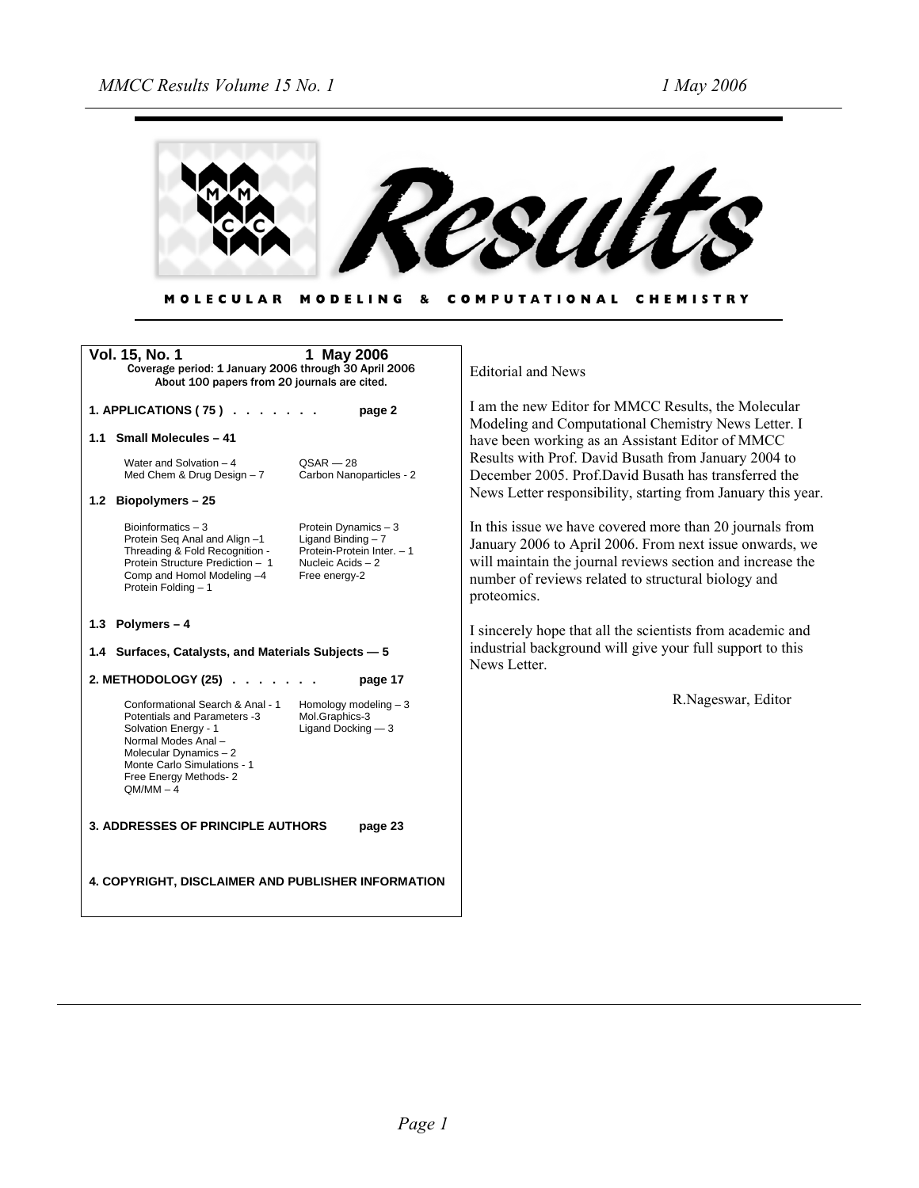

| MOLECULAR MODELING & COMPUTATIONAL CHEMISTRY |  |  |  |
|----------------------------------------------|--|--|--|
|----------------------------------------------|--|--|--|

| Vol. 15, No. 1<br>1 May 2006<br>Coverage period: 1 January 2006 through 30 April 2006<br>About 100 papers from 20 journals are cited.                                                                                                                                                              | <b>Editorial and News</b>                                                                                                                                                                                                                               |
|----------------------------------------------------------------------------------------------------------------------------------------------------------------------------------------------------------------------------------------------------------------------------------------------------|---------------------------------------------------------------------------------------------------------------------------------------------------------------------------------------------------------------------------------------------------------|
| 1. APPLICATIONS (75) $\ldots$<br>page 2                                                                                                                                                                                                                                                            | I am the new Editor for MMCC Results, the Molecular<br>Modeling and Computational Chemistry News Letter. I                                                                                                                                              |
| 1.1 Small Molecules - 41                                                                                                                                                                                                                                                                           | have been working as an Assistant Editor of MMCC                                                                                                                                                                                                        |
| Water and Solvation - 4<br>$QSAR - 28$<br>Carbon Nanoparticles - 2<br>Med Chem & Drug Design - 7                                                                                                                                                                                                   | Results with Prof. David Busath from January 2004 to<br>December 2005 Prof David Busath has transferred the                                                                                                                                             |
| 1.2 Biopolymers - 25                                                                                                                                                                                                                                                                               | News Letter responsibility, starting from January this year.                                                                                                                                                                                            |
| Bioinformatics $-3$<br>Protein Dynamics - 3<br>Protein Seg Anal and Align -1<br>Ligand Binding $-7$<br>Threading & Fold Recognition -<br>Protein-Protein Inter. - 1<br>Protein Structure Prediction - 1<br>Nucleic Acids - 2<br>Comp and Homol Modeling -4<br>Free energy-2<br>Protein Folding - 1 | In this issue we have covered more than 20 journals from<br>January 2006 to April 2006. From next issue onwards, we<br>will maintain the journal reviews section and increase the<br>number of reviews related to structural biology and<br>proteomics. |
| 1.3 Polymers $-4$                                                                                                                                                                                                                                                                                  | I sincerely hope that all the scientists from academic and                                                                                                                                                                                              |
| 1.4 Surfaces, Catalysts, and Materials Subjects - 5                                                                                                                                                                                                                                                | industrial background will give your full support to this<br>News Letter.                                                                                                                                                                               |
| 2. METHODOLOGY (25)<br>page 17                                                                                                                                                                                                                                                                     |                                                                                                                                                                                                                                                         |
| Conformational Search & Anal - 1<br>Homology modeling $-3$<br>Potentials and Parameters -3<br>Mol.Graphics-3<br>Solvation Energy - 1<br>Ligand Docking $-3$<br>Normal Modes Anal -<br>Molecular Dynamics $-2$<br>Monte Carlo Simulations - 1<br>Free Energy Methods-2<br>$QM/MM - 4$               | R.Nageswar, Editor                                                                                                                                                                                                                                      |
| <b>3. ADDRESSES OF PRINCIPLE AUTHORS</b><br>page 23                                                                                                                                                                                                                                                |                                                                                                                                                                                                                                                         |
| 4. COPYRIGHT, DISCLAIMER AND PUBLISHER INFORMATION                                                                                                                                                                                                                                                 |                                                                                                                                                                                                                                                         |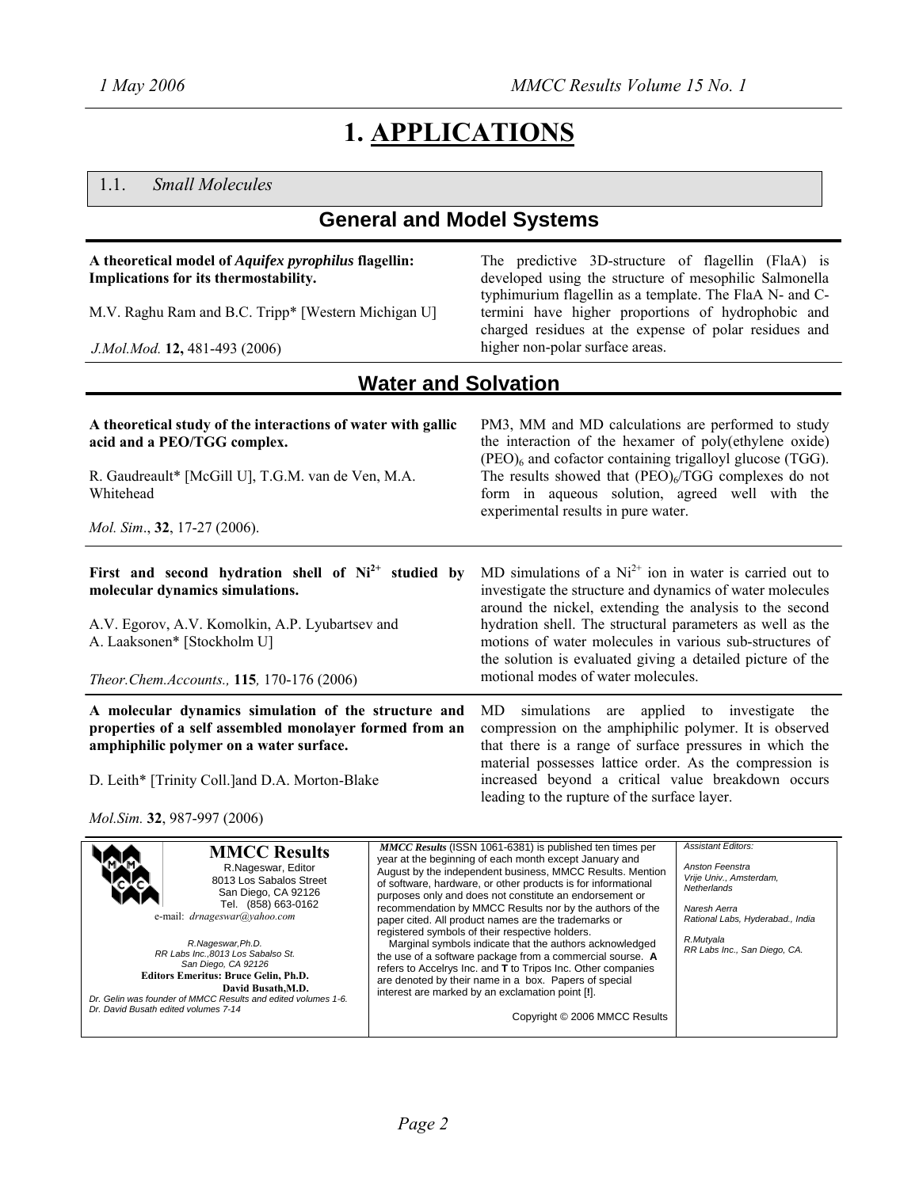# **1. APPLICATIONS**

#### 1.1. *Small Molecules*

## **General and Model Systems**

#### **A theoretical model of** *Aquifex pyrophilus* **flagellin: Implications for its thermostability.**

M.V. Raghu Ram and B.C. Tripp\* [Western Michigan U]

*J.Mol.Mod.* **12,** 481-493 (2006)

The predictive 3D-structure of flagellin (FlaA) is developed using the structure of mesophilic Salmonella typhimurium flagellin as a template. The FlaA N- and Ctermini have higher proportions of hydrophobic and charged residues at the expense of polar residues and higher non-polar surface areas.

#### **Water and Solvation**

| A theoretical study of the interactions of water with gallic<br>acid and a PEO/TGG complex.<br>R. Gaudreault* [McGill U], T.G.M. van de Ven, M.A.<br>Whitehead<br><i>Mol. Sim.</i> , 32, 17-27 (2006). | PM3, MM and MD calculations are performed to study<br>the interaction of the hexamer of poly(ethylene oxide)<br>$(PEO)6$ and cofactor containing trigalloyl glucose (TGG).<br>The results showed that $(PEO)6/TGG$ complexes do not<br>form in aqueous solution, agreed well with the<br>experimental results in pure water. |
|--------------------------------------------------------------------------------------------------------------------------------------------------------------------------------------------------------|------------------------------------------------------------------------------------------------------------------------------------------------------------------------------------------------------------------------------------------------------------------------------------------------------------------------------|
| First and second hydration shell of $Ni2+$ studied by<br>molecular dynamics simulations.                                                                                                               | MD simulations of a $Ni2+$ ion in water is carried out to<br>investigate the structure and dynamics of water molecules<br>around the nickel, extending the analysis to the second                                                                                                                                            |
| A.V. Egorov, A.V. Komolkin, A.P. Lyubartsev and<br>A. Laaksonen* [Stockholm U]                                                                                                                         | hydration shell. The structural parameters as well as the<br>motions of water molecules in various sub-structures of<br>the solution is evaluated giving a detailed picture of the                                                                                                                                           |
| Theor.Chem.Accounts., 115, 170-176 (2006)                                                                                                                                                              | motional modes of water molecules.                                                                                                                                                                                                                                                                                           |
| A molecular dynamics simulation of the structure and<br>properties of a self assembled monolayer formed from an                                                                                        | simulations<br>are applied to investigate<br>MD.<br>the<br>compression on the amphiphilic polymer. It is observed                                                                                                                                                                                                            |

D. Leith\* [Trinity Coll.]and D.A. Morton-Blake

**amphiphilic polymer on a water surface.**

*Mol.Sim.* **32**, 987-997 (2006)

compression on the amphiphilic polymer. It is observed that there is a range of surface pressures in which the material possesses lattice order. As the compression is increased beyond a critical value breakdown occurs leading to the rupture of the surface layer.

| <b>MMCC Results</b><br>R.Nageswar, Editor<br>8013 Los Sabalos Street<br>San Diego, CA 92126<br>Tel. (858) 663-0162<br>e-mail: <i>drnageswar@yahoo.com</i><br>R.Nageswar, Ph.D.<br>RR Labs Inc., 8013 Los Sabalso St.<br>San Diego, CA 92126<br><b>Editors Emeritus: Bruce Gelin, Ph.D.</b><br>David Busath, M.D.<br>Dr. Gelin was founder of MMCC Results and edited volumes 1-6.<br>Dr. David Busath edited volumes 7-14 | <b>MMCC Results (ISSN 1061-6381) is published ten times per</b><br>year at the beginning of each month except January and<br>August by the independent business, MMCC Results. Mention<br>of software, hardware, or other products is for informational<br>purposes only and does not constitute an endorsement or<br>recommendation by MMCC Results nor by the authors of the<br>paper cited. All product names are the trademarks or<br>registered symbols of their respective holders.<br>Marginal symbols indicate that the authors acknowledged<br>the use of a software package from a commercial sourse. A<br>refers to Accelrys Inc. and T to Tripos Inc. Other companies<br>are denoted by their name in a box. Papers of special<br>interest are marked by an exclamation point [!].<br>Copyright © 2006 MMCC Results | <b>Assistant Editors:</b><br>Anston Feenstra<br>Vrije Univ., Amsterdam,<br>Netherlands<br>Naresh Aerra<br>Rational Labs, Hyderabad., India<br>R.Mutyala<br>RR Labs Inc., San Diego, CA. |
|---------------------------------------------------------------------------------------------------------------------------------------------------------------------------------------------------------------------------------------------------------------------------------------------------------------------------------------------------------------------------------------------------------------------------|---------------------------------------------------------------------------------------------------------------------------------------------------------------------------------------------------------------------------------------------------------------------------------------------------------------------------------------------------------------------------------------------------------------------------------------------------------------------------------------------------------------------------------------------------------------------------------------------------------------------------------------------------------------------------------------------------------------------------------------------------------------------------------------------------------------------------------|-----------------------------------------------------------------------------------------------------------------------------------------------------------------------------------------|
|---------------------------------------------------------------------------------------------------------------------------------------------------------------------------------------------------------------------------------------------------------------------------------------------------------------------------------------------------------------------------------------------------------------------------|---------------------------------------------------------------------------------------------------------------------------------------------------------------------------------------------------------------------------------------------------------------------------------------------------------------------------------------------------------------------------------------------------------------------------------------------------------------------------------------------------------------------------------------------------------------------------------------------------------------------------------------------------------------------------------------------------------------------------------------------------------------------------------------------------------------------------------|-----------------------------------------------------------------------------------------------------------------------------------------------------------------------------------------|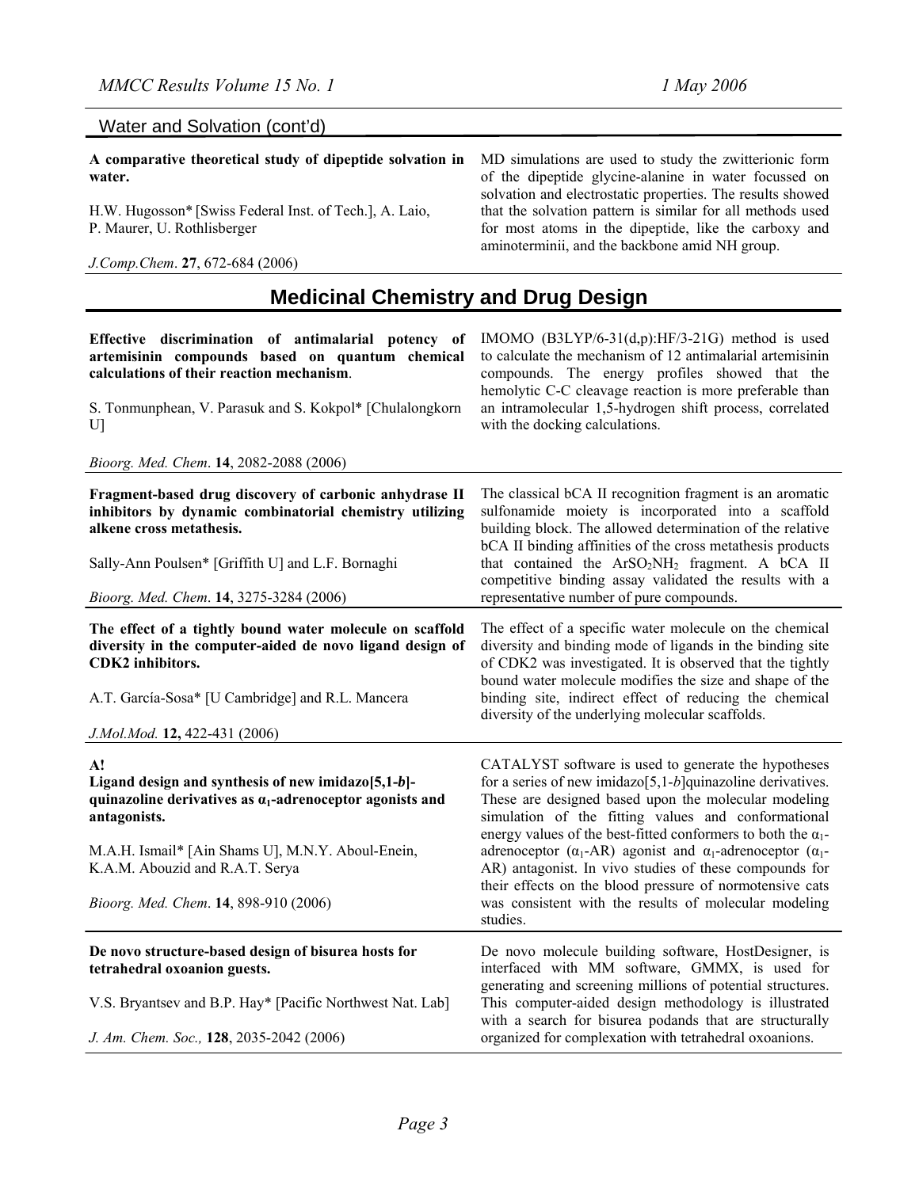MD simulations are used to study the zwitterionic form of the dipeptide glycine-alanine in water focussed on solvation and electrostatic properties. The results showed that the solvation pattern is similar for all methods used for most atoms in the dipeptide, like the carboxy and

aminoterminii, and the backbone amid NH group.

#### Water and Solvation (cont'd)

**A comparative theoretical study of dipeptide solvation in water.** 

H.W. Hugosson\* [Swiss Federal Inst. of Tech.], A. Laio, P. Maurer, U. Rothlisberger

*J.Comp.Chem*. **27**, 672-684 (2006)

# **Medicinal Chemistry and Drug Design**

| Effective discrimination of antimalarial potency of<br>artemisinin compounds based on quantum chemical<br>calculations of their reaction mechanism.<br>S. Tonmunphean, V. Parasuk and S. Kokpol* [Chulalongkorn<br>$U$ ]                                                 | IMOMO (B3LYP/6-31(d,p):HF/3-21G) method is used<br>to calculate the mechanism of 12 antimalarial artemisinin<br>compounds. The energy profiles showed that the<br>hemolytic C-C cleavage reaction is more preferable than<br>an intramolecular 1,5-hydrogen shift process, correlated<br>with the docking calculations.                                                                                                                                                                                                                                                                        |  |
|--------------------------------------------------------------------------------------------------------------------------------------------------------------------------------------------------------------------------------------------------------------------------|------------------------------------------------------------------------------------------------------------------------------------------------------------------------------------------------------------------------------------------------------------------------------------------------------------------------------------------------------------------------------------------------------------------------------------------------------------------------------------------------------------------------------------------------------------------------------------------------|--|
| Bioorg. Med. Chem. 14, 2082-2088 (2006)                                                                                                                                                                                                                                  |                                                                                                                                                                                                                                                                                                                                                                                                                                                                                                                                                                                                |  |
| Fragment-based drug discovery of carbonic anhydrase II<br>inhibitors by dynamic combinatorial chemistry utilizing<br>alkene cross metathesis.                                                                                                                            | The classical bCA II recognition fragment is an aromatic<br>sulfonamide moiety is incorporated into a scaffold<br>building block. The allowed determination of the relative<br>bCA II binding affinities of the cross metathesis products                                                                                                                                                                                                                                                                                                                                                      |  |
| Sally-Ann Poulsen* [Griffith U] and L.F. Bornaghi                                                                                                                                                                                                                        | that contained the ArSO <sub>2</sub> NH <sub>2</sub> fragment. A bCA II<br>competitive binding assay validated the results with a                                                                                                                                                                                                                                                                                                                                                                                                                                                              |  |
| Bioorg. Med. Chem. 14, 3275-3284 (2006)                                                                                                                                                                                                                                  | representative number of pure compounds.                                                                                                                                                                                                                                                                                                                                                                                                                                                                                                                                                       |  |
| The effect of a tightly bound water molecule on scaffold<br>diversity in the computer-aided de novo ligand design of<br>CDK2 inhibitors.<br>A.T. García-Sosa* [U Cambridge] and R.L. Mancera<br>J.Mol.Mod. 12, 422-431 (2006)                                            | The effect of a specific water molecule on the chemical<br>diversity and binding mode of ligands in the binding site<br>of CDK2 was investigated. It is observed that the tightly<br>bound water molecule modifies the size and shape of the<br>binding site, indirect effect of reducing the chemical<br>diversity of the underlying molecular scaffolds.                                                                                                                                                                                                                                     |  |
|                                                                                                                                                                                                                                                                          |                                                                                                                                                                                                                                                                                                                                                                                                                                                                                                                                                                                                |  |
| A!<br>Ligand design and synthesis of new imidazo[5,1-b]-<br>quinazoline derivatives as $a_1$ -adrenoceptor agonists and<br>antagonists.<br>M.A.H. Ismail* [Ain Shams U], M.N.Y. Aboul-Enein,<br>K.A.M. Abouzid and R.A.T. Serya<br>Bioorg. Med. Chem. 14, 898-910 (2006) | CATALYST software is used to generate the hypotheses<br>for a series of new imidazo $[5,1-b]$ quinazoline derivatives.<br>These are designed based upon the molecular modeling<br>simulation of the fitting values and conformational<br>energy values of the best-fitted conformers to both the $\alpha_1$ -<br>adrenoceptor ( $\alpha_1$ -AR) agonist and $\alpha_1$ -adrenoceptor ( $\alpha_1$ -<br>AR) antagonist. In vivo studies of these compounds for<br>their effects on the blood pressure of normotensive cats<br>was consistent with the results of molecular modeling<br>studies. |  |
|                                                                                                                                                                                                                                                                          |                                                                                                                                                                                                                                                                                                                                                                                                                                                                                                                                                                                                |  |
| De novo structure-based design of bisurea hosts for<br>tetrahedral oxoanion guests.                                                                                                                                                                                      | De novo molecule building software, HostDesigner, is<br>interfaced with MM software, GMMX, is used for<br>generating and screening millions of potential structures.                                                                                                                                                                                                                                                                                                                                                                                                                           |  |
| V.S. Bryantsev and B.P. Hay* [Pacific Northwest Nat. Lab]                                                                                                                                                                                                                | This computer-aided design methodology is illustrated<br>with a search for bisurea podands that are structurally                                                                                                                                                                                                                                                                                                                                                                                                                                                                               |  |
| J. Am. Chem. Soc., 128, 2035-2042 (2006)                                                                                                                                                                                                                                 | organized for complexation with tetrahedral oxoanions.                                                                                                                                                                                                                                                                                                                                                                                                                                                                                                                                         |  |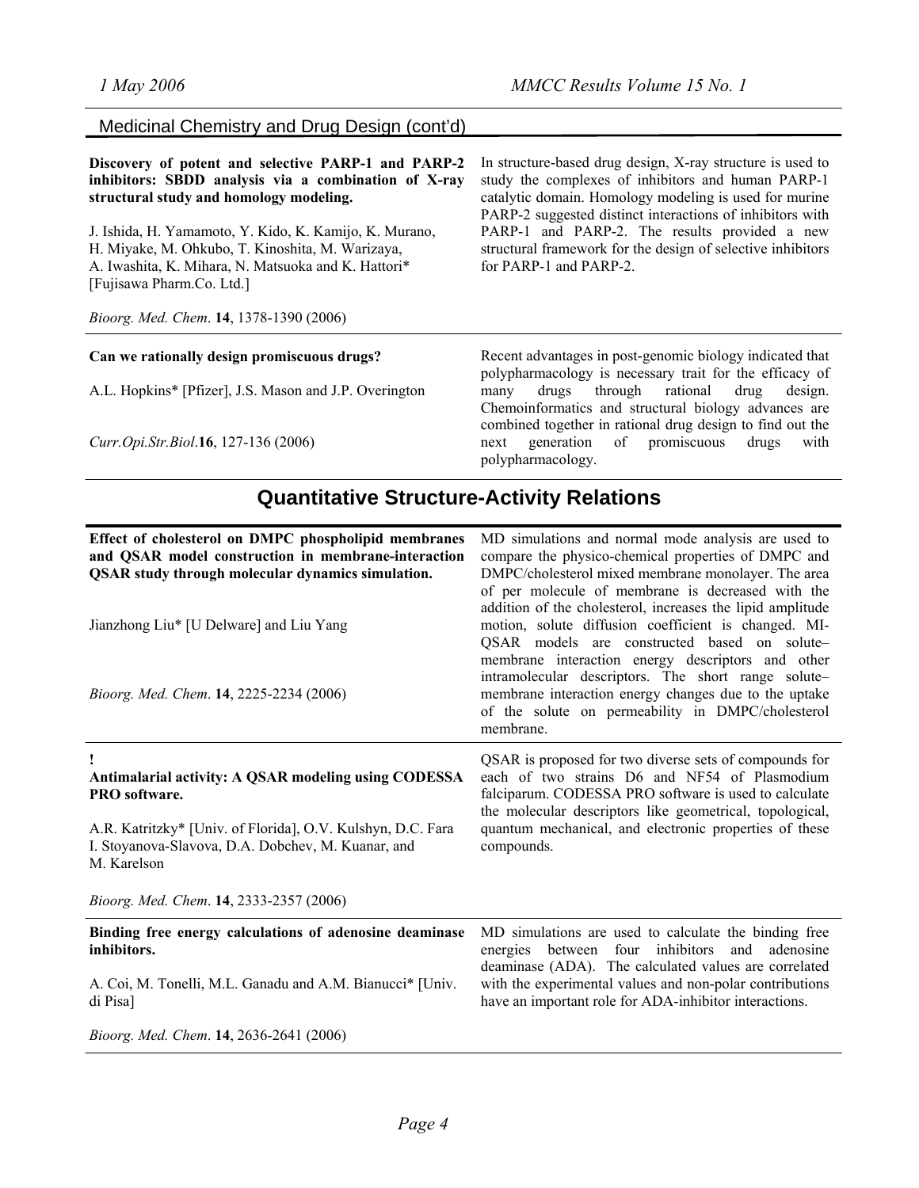#### Medicinal Chemistry and Drug Design (cont'd)

**Discovery of potent and selective PARP-1 and PARP-2 inhibitors: SBDD analysis via a combination of X-ray structural study and homology modeling.** 

J. Ishida, H. Yamamoto, Y. Kido, K. Kamijo, K. Murano, H. Miyake, M. Ohkubo, T. Kinoshita, M. Warizaya, A. Iwashita, K. Mihara, N. Matsuoka and K. Hattori\* [Fujisawa Pharm.Co. Ltd.]

*Bioorg. Med. Chem*. **14**, 1378-1390 (2006)

#### **Can we rationally design promiscuous drugs?**

A.L. Hopkins\* [Pfizer], J.S. Mason and J.P. Overington

*Curr.Opi.Str.Biol*.**16**, 127-136 (2006)

In structure-based drug design, X-ray structure is used to study the complexes of inhibitors and human PARP-1 catalytic domain. Homology modeling is used for murine PARP-2 suggested distinct interactions of inhibitors with PARP-1 and PARP-2. The results provided a new structural framework for the design of selective inhibitors for PARP-1 and PARP-2.

Recent advantages in post-genomic biology indicated that polypharmacology is necessary trait for the efficacy of many drugs through rational drug design. Chemoinformatics and structural biology advances are combined together in rational drug design to find out the next generation of promiscuous drugs with polypharmacology.

#### **Quantitative Structure-Activity Relations**

| Effect of cholesterol on DMPC phospholipid membranes<br>and QSAR model construction in membrane-interaction<br><b>QSAR</b> study through molecular dynamics simulation.<br>Jianzhong Liu* [U Delware] and Liu Yang<br>Bioorg. Med. Chem. 14, 2225-2234 (2006) | MD simulations and normal mode analysis are used to<br>compare the physico-chemical properties of DMPC and<br>DMPC/cholesterol mixed membrane monolayer. The area<br>of per molecule of membrane is decreased with the<br>addition of the cholesterol, increases the lipid amplitude<br>motion, solute diffusion coefficient is changed. MI-<br>QSAR models are constructed based on solute-<br>membrane interaction energy descriptors and other<br>intramolecular descriptors. The short range solute-<br>membrane interaction energy changes due to the uptake<br>of the solute on permeability in DMPC/cholesterol<br>membrane. |
|---------------------------------------------------------------------------------------------------------------------------------------------------------------------------------------------------------------------------------------------------------------|-------------------------------------------------------------------------------------------------------------------------------------------------------------------------------------------------------------------------------------------------------------------------------------------------------------------------------------------------------------------------------------------------------------------------------------------------------------------------------------------------------------------------------------------------------------------------------------------------------------------------------------|
| Antimalarial activity: A QSAR modeling using CODESSA<br>PRO software.<br>A.R. Katritzky* [Univ. of Florida], O.V. Kulshyn, D.C. Fara<br>I. Stoyanova-Slavova, D.A. Dobchev, M. Kuanar, and<br>M. Karelson<br>Bioorg. Med. Chem. 14, 2333-2357 (2006)          | QSAR is proposed for two diverse sets of compounds for<br>each of two strains D6 and NF54 of Plasmodium<br>falciparum. CODESSA PRO software is used to calculate<br>the molecular descriptors like geometrical, topological,<br>quantum mechanical, and electronic properties of these<br>compounds.                                                                                                                                                                                                                                                                                                                                |
| Binding free energy calculations of adenosine deaminase<br>inhibitors.<br>A. Coi, M. Tonelli, M.L. Ganadu and A.M. Bianucci* [Univ.<br>di Pisa]<br>Bioorg. Med. Chem. 14, 2636-2641 (2006)                                                                    | MD simulations are used to calculate the binding free<br>between four inhibitors and adenosine<br>energies<br>deaminase (ADA). The calculated values are correlated<br>with the experimental values and non-polar contributions<br>have an important role for ADA-inhibitor interactions.                                                                                                                                                                                                                                                                                                                                           |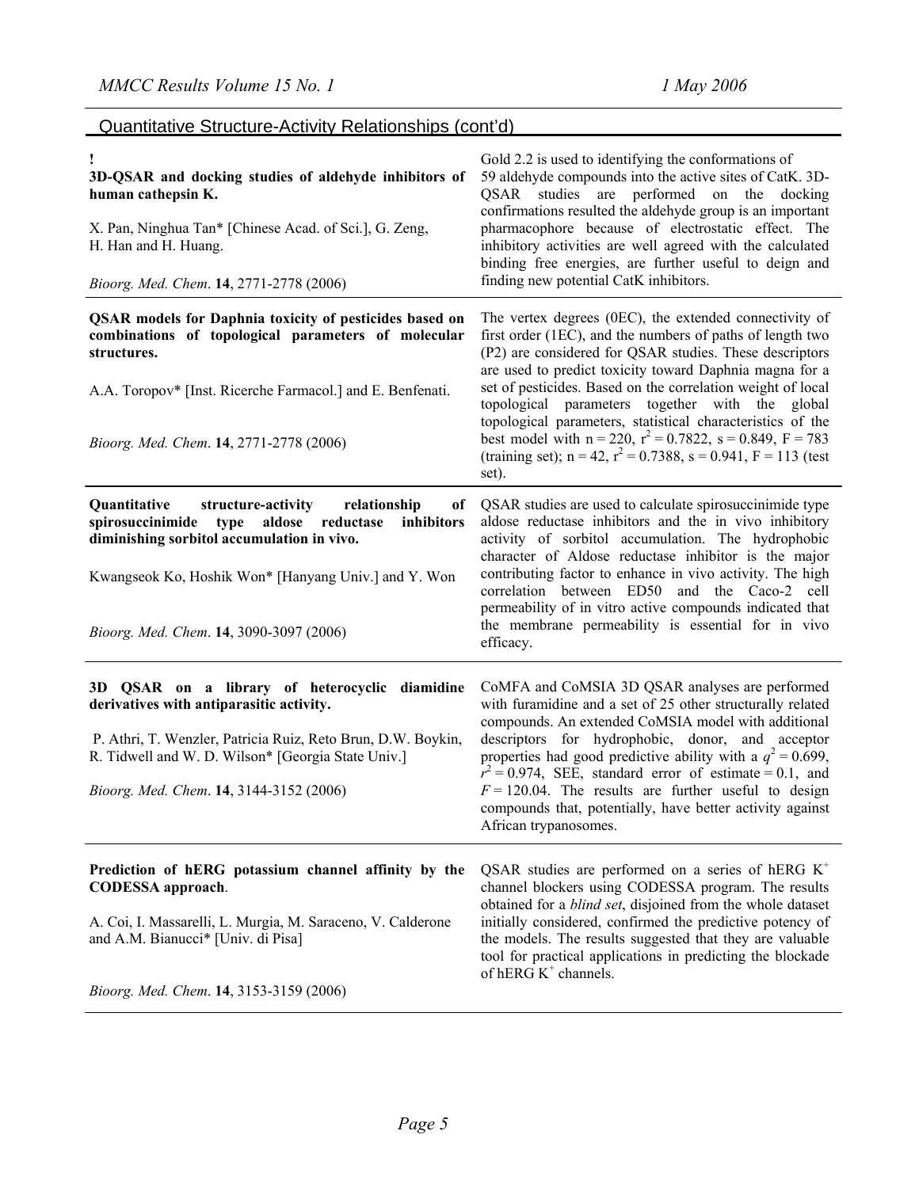## Quantitative Structure-Activity Relationships (cont'd)

| 3D-QSAR and docking studies of aldehyde inhibitors of<br>human cathepsin K.<br>X. Pan, Ninghua Tan* [Chinese Acad. of Sci.], G. Zeng,<br>H. Han and H. Huang.<br>Bioorg. Med. Chem. 14, 2771-2778 (2006)                                                                | Gold 2.2 is used to identifying the conformations of<br>59 aldehyde compounds into the active sites of CatK. 3D-<br>QSAR studies are performed on the docking<br>confirmations resulted the aldehyde group is an important<br>pharmacophore because of electrostatic effect. The<br>inhibitory activities are well agreed with the calculated<br>binding free energies, are further useful to deign and<br>finding new potential CatK inhibitors.                                                                                                                                       |
|-------------------------------------------------------------------------------------------------------------------------------------------------------------------------------------------------------------------------------------------------------------------------|-----------------------------------------------------------------------------------------------------------------------------------------------------------------------------------------------------------------------------------------------------------------------------------------------------------------------------------------------------------------------------------------------------------------------------------------------------------------------------------------------------------------------------------------------------------------------------------------|
| <b>QSAR</b> models for Daphnia toxicity of pesticides based on<br>combinations of topological parameters of molecular<br>structures.<br>A.A. Toropov* [Inst. Ricerche Farmacol.] and E. Benfenati.<br>Bioorg. Med. Chem. 14, 2771-2778 (2006)                           | The vertex degrees (0EC), the extended connectivity of<br>first order (1EC), and the numbers of paths of length two<br>(P2) are considered for QSAR studies. These descriptors<br>are used to predict toxicity toward Daphnia magna for a<br>set of pesticides. Based on the correlation weight of local<br>topological parameters together with the global<br>topological parameters, statistical characteristics of the<br>best model with $n = 220$ , $r^2 = 0.7822$ , $s = 0.849$ , $F = 783$<br>(training set); $n = 42$ , $r^2 = 0.7388$ , $s = 0.941$ , $F = 113$ (test<br>set). |
| Quantitative<br>structure-activity<br>relationship<br>of<br>aldose reductase<br>inhibitors<br>spirosuccinimide<br>type<br>diminishing sorbitol accumulation in vivo.<br>Kwangseok Ko, Hoshik Won* [Hanyang Univ.] and Y. Won<br>Bioorg. Med. Chem. 14, 3090-3097 (2006) | QSAR studies are used to calculate spirosuccinimide type<br>aldose reductase inhibitors and the in vivo inhibitory<br>activity of sorbitol accumulation. The hydrophobic<br>character of Aldose reductase inhibitor is the major<br>contributing factor to enhance in vivo activity. The high<br>correlation between ED50 and the Caco-2 cell<br>permeability of in vitro active compounds indicated that<br>the membrane permeability is essential for in vivo<br>efficacy.                                                                                                            |
| 3D QSAR on a library of heterocyclic diamidine<br>derivatives with antiparasitic activity.<br>P. Athri, T. Wenzler, Patricia Ruiz, Reto Brun, D.W. Boykin,<br>R. Tidwell and W. D. Wilson* [Georgia State Univ.]<br>Bioorg. Med. Chem. 14, 3144-3152 (2006)             | CoMFA and CoMSIA 3D QSAR analyses are performed<br>with furamidine and a set of 25 other structurally related<br>compounds. An extended CoMSIA model with additional<br>descriptors for hydrophobic, donor, and acceptor<br>properties had good predictive ability with a $q^2 = 0.699$ ,<br>$r^2 = 0.974$ , SEE, standard error of estimate = 0.1, and<br>$F = 120.04$ . The results are further useful to design<br>compounds that, potentially, have better activity against<br>African trypanosomes.                                                                                |
| Prediction of hERG potassium channel affinity by the<br><b>CODESSA</b> approach.<br>A. Coi, I. Massarelli, L. Murgia, M. Saraceno, V. Calderone<br>and A.M. Bianucci* [Univ. di Pisa]<br>Bioorg. Med. Chem. 14, 3153-3159 (2006)                                        | QSAR studies are performed on a series of hERG $K^+$<br>channel blockers using CODESSA program. The results<br>obtained for a <i>blind set</i> , disjoined from the whole dataset<br>initially considered, confirmed the predictive potency of<br>the models. The results suggested that they are valuable<br>tool for practical applications in predicting the blockade<br>of hERG $K^+$ channels.                                                                                                                                                                                     |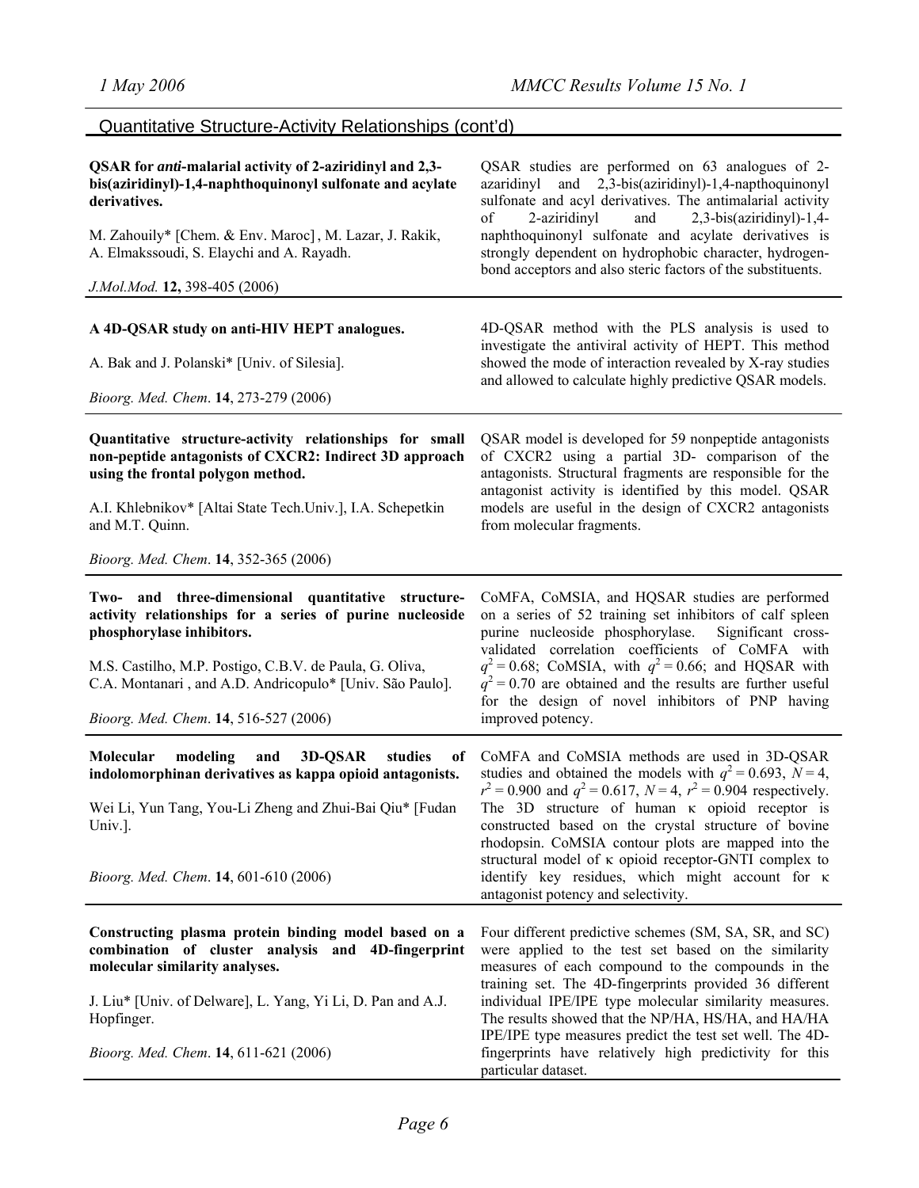## Quantitative Structure-Activity Relationships (cont'd)

| QSAR for anti-malarial activity of 2-aziridinyl and 2,3-<br>bis(aziridinyl)-1,4-naphthoquinonyl sulfonate and acylate<br>derivatives.<br>M. Zahouily* [Chem. & Env. Maroc], M. Lazar, J. Rakik,<br>A. Elmakssoudi, S. Elaychi and A. Rayadh.<br>J.Mol.Mod. 12, 398-405 (2006) | QSAR studies are performed on 63 analogues of 2-<br>and 2,3-bis(aziridinyl)-1,4-napthoquinonyl<br>azaridinyl<br>sulfonate and acyl derivatives. The antimalarial activity<br>2,3-bis(aziridinyl)-1,4-<br>of<br>2-aziridinyl<br>and<br>naphthoquinonyl sulfonate and acylate derivatives is<br>strongly dependent on hydrophobic character, hydrogen-<br>bond acceptors and also steric factors of the substituents. |
|-------------------------------------------------------------------------------------------------------------------------------------------------------------------------------------------------------------------------------------------------------------------------------|---------------------------------------------------------------------------------------------------------------------------------------------------------------------------------------------------------------------------------------------------------------------------------------------------------------------------------------------------------------------------------------------------------------------|
|                                                                                                                                                                                                                                                                               |                                                                                                                                                                                                                                                                                                                                                                                                                     |
| A 4D-QSAR study on anti-HIV HEPT analogues.                                                                                                                                                                                                                                   | 4D-QSAR method with the PLS analysis is used to<br>investigate the antiviral activity of HEPT. This method<br>showed the mode of interaction revealed by X-ray studies                                                                                                                                                                                                                                              |
| A. Bak and J. Polanski* [Univ. of Silesia].                                                                                                                                                                                                                                   | and allowed to calculate highly predictive QSAR models.                                                                                                                                                                                                                                                                                                                                                             |
| Bioorg. Med. Chem. 14, 273-279 (2006)                                                                                                                                                                                                                                         |                                                                                                                                                                                                                                                                                                                                                                                                                     |
| Quantitative structure-activity relationships for small<br>non-peptide antagonists of CXCR2: Indirect 3D approach<br>using the frontal polygon method.<br>A.I. Khlebnikov* [Altai State Tech.Univ.], I.A. Schepetkin                                                          | QSAR model is developed for 59 nonpeptide antagonists<br>of CXCR2 using a partial 3D- comparison of the<br>antagonists. Structural fragments are responsible for the<br>antagonist activity is identified by this model. QSAR<br>models are useful in the design of CXCR2 antagonists                                                                                                                               |
| and M.T. Quinn.                                                                                                                                                                                                                                                               | from molecular fragments.                                                                                                                                                                                                                                                                                                                                                                                           |
| Bioorg. Med. Chem. 14, 352-365 (2006)                                                                                                                                                                                                                                         |                                                                                                                                                                                                                                                                                                                                                                                                                     |
| Two- and three-dimensional quantitative structure-<br>activity relationships for a series of purine nucleoside<br>phosphorylase inhibitors.                                                                                                                                   | CoMFA, CoMSIA, and HQSAR studies are performed<br>on a series of 52 training set inhibitors of calf spleen<br>purine nucleoside phosphorylase.<br>Significant cross-<br>validated correlation coefficients of CoMFA with                                                                                                                                                                                            |
| M.S. Castilho, M.P. Postigo, C.B.V. de Paula, G. Oliva,<br>C.A. Montanari, and A.D. Andricopulo* [Univ. São Paulo].                                                                                                                                                           | $q^2$ = 0.68; CoMSIA, with $q^2$ = 0.66; and HQSAR with<br>$q^2$ = 0.70 are obtained and the results are further useful<br>for the design of novel inhibitors of PNP having                                                                                                                                                                                                                                         |
| Bioorg. Med. Chem. 14, 516-527 (2006)                                                                                                                                                                                                                                         | improved potency.                                                                                                                                                                                                                                                                                                                                                                                                   |
| studies<br>Molecular<br>modeling<br>3D-QSAR<br>and<br>of<br>indolomorphinan derivatives as kappa opioid antagonists.<br>Wei Li, Yun Tang, You-Li Zheng and Zhui-Bai Qiu* [Fudan]<br>Univ.].                                                                                   | CoMFA and CoMSIA methods are used in 3D-QSAR<br>studies and obtained the models with $q^2 = 0.693$ , $N = 4$ ,<br>$r^2 = 0.900$ and $q^2 = 0.617$ , $N = 4$ , $r^2 = 0.904$ respectively.<br>The 3D structure of human $\kappa$ opioid receptor is<br>constructed based on the crystal structure of bovine                                                                                                          |
| Bioorg. Med. Chem. 14, 601-610 (2006)                                                                                                                                                                                                                                         | rhodopsin. CoMSIA contour plots are mapped into the<br>structural model of $\kappa$ opioid receptor-GNTI complex to<br>identify key residues, which might account for $\kappa$<br>antagonist potency and selectivity.                                                                                                                                                                                               |
| Constructing plasma protein binding model based on a<br>combination of cluster analysis and 4D-fingerprint<br>molecular similarity analyses.                                                                                                                                  | Four different predictive schemes (SM, SA, SR, and SC)<br>were applied to the test set based on the similarity<br>measures of each compound to the compounds in the<br>training set. The 4D-fingerprints provided 36 different                                                                                                                                                                                      |
| J. Liu* [Univ. of Delware], L. Yang, Yi Li, D. Pan and A.J.<br>Hopfinger.                                                                                                                                                                                                     | individual IPE/IPE type molecular similarity measures.<br>The results showed that the NP/HA, HS/HA, and HA/HA<br>IPE/IPE type measures predict the test set well. The 4D-                                                                                                                                                                                                                                           |
| Bioorg. Med. Chem. 14, 611-621 (2006)                                                                                                                                                                                                                                         | fingerprints have relatively high predictivity for this<br>particular dataset.                                                                                                                                                                                                                                                                                                                                      |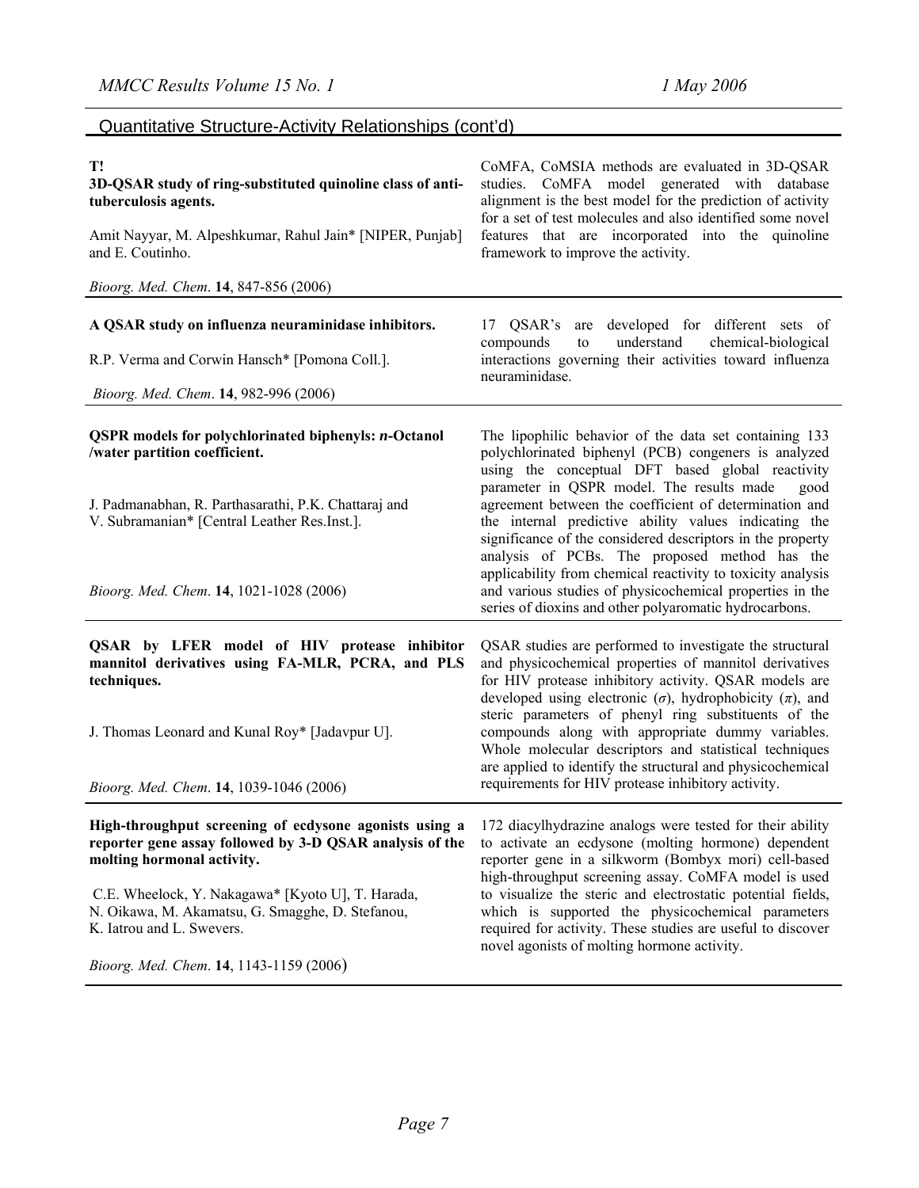## Quantitative Structure-Activity Relationships (cont'd)

| T!<br>3D-QSAR study of ring-substituted quinoline class of anti-<br>tuberculosis agents.                                                                                                                   | CoMFA, CoMSIA methods are evaluated in 3D-QSAR<br>studies. CoMFA model generated with database<br>alignment is the best model for the prediction of activity<br>for a set of test molecules and also identified some novel                                                          |  |
|------------------------------------------------------------------------------------------------------------------------------------------------------------------------------------------------------------|-------------------------------------------------------------------------------------------------------------------------------------------------------------------------------------------------------------------------------------------------------------------------------------|--|
| Amit Nayyar, M. Alpeshkumar, Rahul Jain* [NIPER, Punjab]<br>and E. Coutinho.                                                                                                                               | features that are incorporated into the quinoline<br>framework to improve the activity.                                                                                                                                                                                             |  |
| Bioorg. Med. Chem. 14, 847-856 (2006)                                                                                                                                                                      |                                                                                                                                                                                                                                                                                     |  |
| A QSAR study on influenza neuraminidase inhibitors.                                                                                                                                                        | 17 QSAR's are developed for different sets of<br>understand<br>chemical-biological<br>compounds<br>to                                                                                                                                                                               |  |
| R.P. Verma and Corwin Hansch* [Pomona Coll.].                                                                                                                                                              | interactions governing their activities toward influenza<br>neuraminidase.                                                                                                                                                                                                          |  |
| Bioorg. Med. Chem. 14, 982-996 (2006)                                                                                                                                                                      |                                                                                                                                                                                                                                                                                     |  |
| <b>QSPR</b> models for polychlorinated biphenyls: <i>n</i> -Octanol<br>/water partition coefficient.                                                                                                       | The lipophilic behavior of the data set containing 133<br>polychlorinated biphenyl (PCB) congeners is analyzed<br>using the conceptual DFT based global reactivity                                                                                                                  |  |
| J. Padmanabhan, R. Parthasarathi, P.K. Chattaraj and<br>V. Subramanian* [Central Leather Res.Inst.].                                                                                                       | parameter in QSPR model. The results made<br>good<br>agreement between the coefficient of determination and<br>the internal predictive ability values indicating the<br>significance of the considered descriptors in the property<br>analysis of PCBs. The proposed method has the |  |
| Bioorg. Med. Chem. 14, 1021-1028 (2006)                                                                                                                                                                    | applicability from chemical reactivity to toxicity analysis<br>and various studies of physicochemical properties in the<br>series of dioxins and other polyaromatic hydrocarbons.                                                                                                   |  |
| QSAR by LFER model of HIV protease inhibitor<br>mannitol derivatives using FA-MLR, PCRA, and PLS<br>techniques.                                                                                            | QSAR studies are performed to investigate the structural<br>and physicochemical properties of mannitol derivatives<br>for HIV protease inhibitory activity. QSAR models are<br>developed using electronic $(\sigma)$ , hydrophobicity $(\pi)$ , and                                 |  |
| J. Thomas Leonard and Kunal Roy* [Jadavpur U].                                                                                                                                                             | steric parameters of phenyl ring substituents of the<br>compounds along with appropriate dummy variables.<br>Whole molecular descriptors and statistical techniques<br>are applied to identify the structural and physicochemical                                                   |  |
| Bioorg. Med. Chem. 14, 1039-1046 (2006)                                                                                                                                                                    | requirements for HIV protease inhibitory activity.                                                                                                                                                                                                                                  |  |
| High-throughput screening of ecdysone agonists using a 172 diacylhydrazine analogs were tested for their ability<br>reporter gene assay followed by 3-D QSAR analysis of the<br>molting hormonal activity. | to activate an ecdysone (molting hormone) dependent<br>reporter gene in a silkworm (Bombyx mori) cell-based<br>high-throughput screening assay. CoMFA model is used                                                                                                                 |  |
| C.E. Wheelock, Y. Nakagawa* [Kyoto U], T. Harada,<br>N. Oikawa, M. Akamatsu, G. Smagghe, D. Stefanou,<br>K. Iatrou and L. Swevers.                                                                         | to visualize the steric and electrostatic potential fields,<br>which is supported the physicochemical parameters<br>required for activity. These studies are useful to discover<br>novel agonists of molting hormone activity.                                                      |  |
| Bioorg. Med. Chem. 14, 1143-1159 (2006)                                                                                                                                                                    |                                                                                                                                                                                                                                                                                     |  |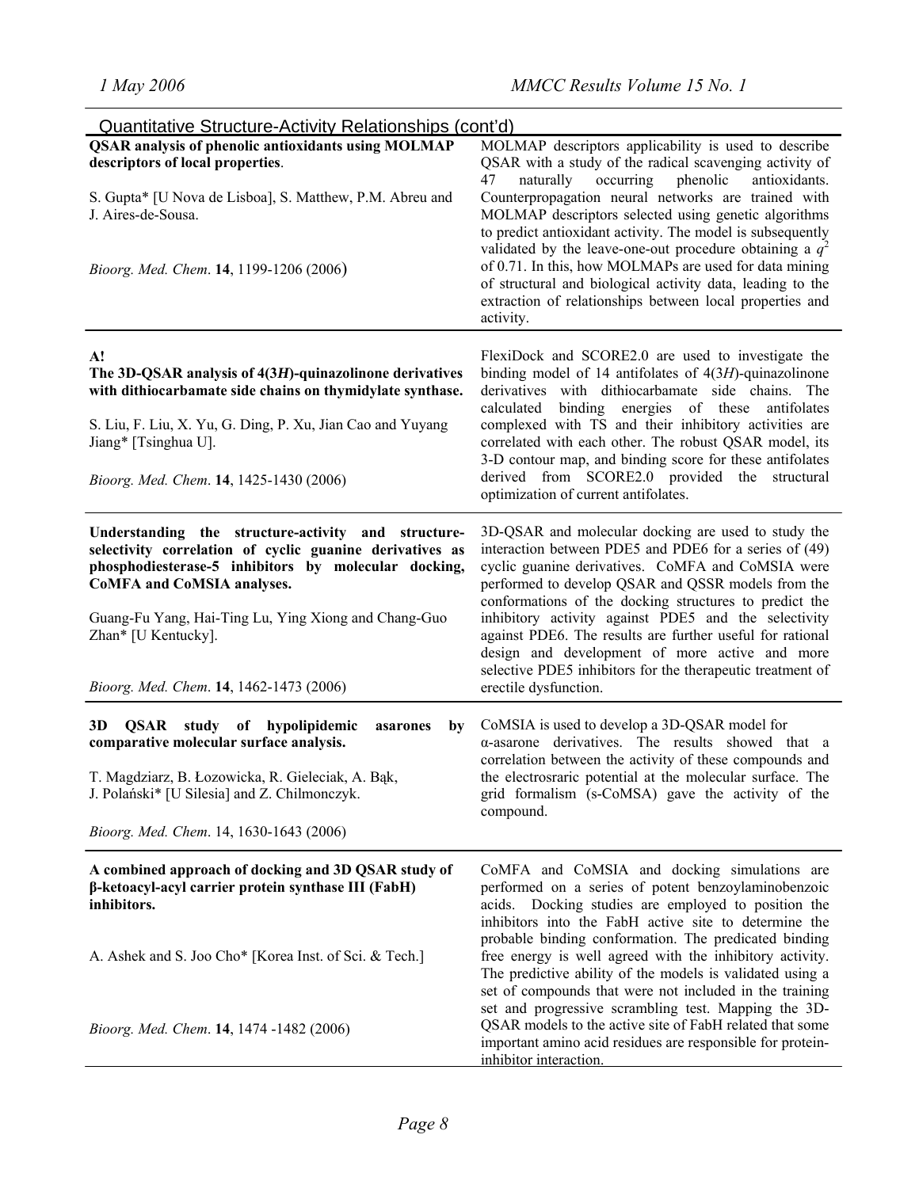| Quantitative Structure-Activity Relationships (cont'd)                                                                                                                                                                                                                               |                                                                                                                                                                                                                                                                                                                                                                                                                                                           |
|--------------------------------------------------------------------------------------------------------------------------------------------------------------------------------------------------------------------------------------------------------------------------------------|-----------------------------------------------------------------------------------------------------------------------------------------------------------------------------------------------------------------------------------------------------------------------------------------------------------------------------------------------------------------------------------------------------------------------------------------------------------|
| <b>QSAR</b> analysis of phenolic antioxidants using MOLMAP<br>descriptors of local properties.<br>S. Gupta* [U Nova de Lisboa], S. Matthew, P.M. Abreu and                                                                                                                           | MOLMAP descriptors applicability is used to describe<br>QSAR with a study of the radical scavenging activity of<br>phenolic<br>naturally<br>occurring<br>antioxidants.<br>47<br>Counterpropagation neural networks are trained with                                                                                                                                                                                                                       |
| J. Aires-de-Sousa.<br>Bioorg. Med. Chem. 14, 1199-1206 (2006)                                                                                                                                                                                                                        | MOLMAP descriptors selected using genetic algorithms<br>to predict antioxidant activity. The model is subsequently<br>validated by the leave-one-out procedure obtaining a $q^2$<br>of 0.71. In this, how MOLMAPs are used for data mining<br>of structural and biological activity data, leading to the<br>extraction of relationships between local properties and<br>activity.                                                                         |
| A!<br>The 3D-QSAR analysis of 4(3H)-quinazolinone derivatives<br>with dithiocarbamate side chains on thymidylate synthase.<br>S. Liu, F. Liu, X. Yu, G. Ding, P. Xu, Jian Cao and Yuyang<br>Jiang* [Tsinghua U].                                                                     | FlexiDock and SCORE2.0 are used to investigate the<br>binding model of 14 antifolates of $4(3H)$ -quinazolinone<br>derivatives with dithiocarbamate side chains. The<br>calculated<br>binding energies of these antifolates<br>complexed with TS and their inhibitory activities are<br>correlated with each other. The robust QSAR model, its                                                                                                            |
| Bioorg. Med. Chem. 14, 1425-1430 (2006)                                                                                                                                                                                                                                              | 3-D contour map, and binding score for these antifolates<br>derived from SCORE2.0 provided the<br>structural<br>optimization of current antifolates.                                                                                                                                                                                                                                                                                                      |
| Understanding the structure-activity and structure-<br>selectivity correlation of cyclic guanine derivatives as<br>phosphodiesterase-5 inhibitors by molecular docking,<br>CoMFA and CoMSIA analyses.<br>Guang-Fu Yang, Hai-Ting Lu, Ying Xiong and Chang-Guo<br>Zhan* [U Kentucky]. | 3D-QSAR and molecular docking are used to study the<br>interaction between PDE5 and PDE6 for a series of (49)<br>cyclic guanine derivatives. CoMFA and CoMSIA were<br>performed to develop QSAR and QSSR models from the<br>conformations of the docking structures to predict the<br>inhibitory activity against PDE5 and the selectivity<br>against PDE6. The results are further useful for rational<br>design and development of more active and more |
| Bioorg. Med. Chem. 14, 1462-1473 (2006)                                                                                                                                                                                                                                              | selective PDE5 inhibitors for the therapeutic treatment of<br>erectile dysfunction.                                                                                                                                                                                                                                                                                                                                                                       |
| 3D<br>QSAR study of hypolipidemic<br>by<br>asarones<br>comparative molecular surface analysis.<br>T. Magdziarz, B. Łozowicka, R. Gieleciak, A. Bąk,<br>J. Polański* [U Silesia] and Z. Chilmonczyk.<br>Bioorg. Med. Chem. 14, 1630-1643 (2006)                                       | CoMSIA is used to develop a 3D-QSAR model for<br>$\alpha$ -asarone derivatives. The results showed that a<br>correlation between the activity of these compounds and<br>the electrosraric potential at the molecular surface. The<br>grid formalism (s-CoMSA) gave the activity of the<br>compound.                                                                                                                                                       |
| A combined approach of docking and 3D QSAR study of<br>β-ketoacyl-acyl carrier protein synthase III (FabH)<br>inhibitors.                                                                                                                                                            | CoMFA and CoMSIA and docking simulations are<br>performed on a series of potent benzoylaminobenzoic<br>acids. Docking studies are employed to position the<br>inhibitors into the FabH active site to determine the                                                                                                                                                                                                                                       |
| A. Ashek and S. Joo Cho* [Korea Inst. of Sci. & Tech.]                                                                                                                                                                                                                               | probable binding conformation. The predicated binding<br>free energy is well agreed with the inhibitory activity.<br>The predictive ability of the models is validated using a<br>set of compounds that were not included in the training                                                                                                                                                                                                                 |
| Bioorg. Med. Chem. 14, 1474 -1482 (2006)                                                                                                                                                                                                                                             | set and progressive scrambling test. Mapping the 3D-<br>QSAR models to the active site of FabH related that some<br>important amino acid residues are responsible for protein-<br>inhibitor interaction.                                                                                                                                                                                                                                                  |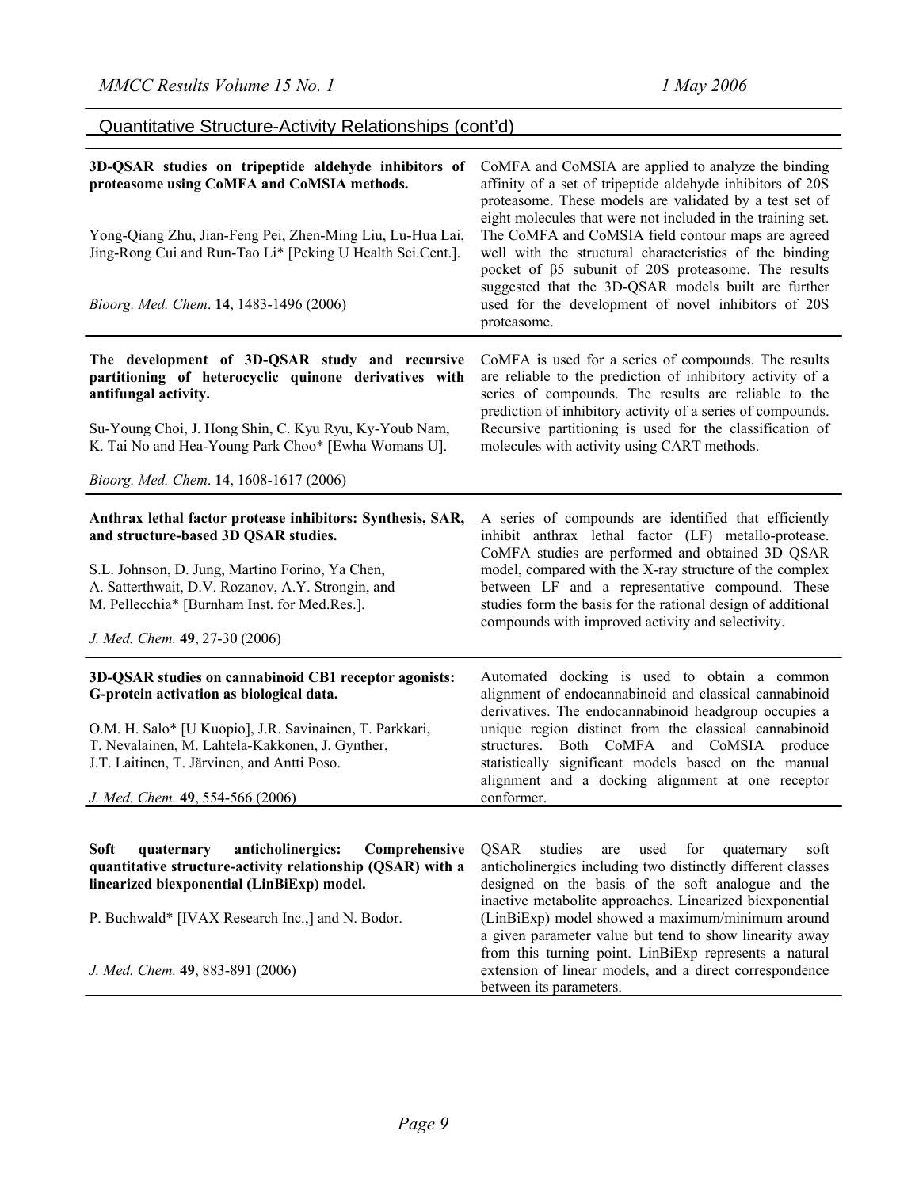extension of linear models, and a direct correspondence

between its parameters.

| <b>Quantitative Structure-Activity Relationships (cont'd)</b>                                                                                                                                                                                                                                      |                                                                                                                                                                                                                                                                                                                                                                                                                                                                            |  |
|----------------------------------------------------------------------------------------------------------------------------------------------------------------------------------------------------------------------------------------------------------------------------------------------------|----------------------------------------------------------------------------------------------------------------------------------------------------------------------------------------------------------------------------------------------------------------------------------------------------------------------------------------------------------------------------------------------------------------------------------------------------------------------------|--|
| 3D-QSAR studies on tripeptide aldehyde inhibitors of<br>proteasome using CoMFA and CoMSIA methods.<br>Yong-Qiang Zhu, Jian-Feng Pei, Zhen-Ming Liu, Lu-Hua Lai,<br>Jing-Rong Cui and Run-Tao Li* [Peking U Health Sci.Cent.].                                                                      | CoMFA and CoMSIA are applied to analyze the binding<br>affinity of a set of tripeptide aldehyde inhibitors of 20S<br>proteasome. These models are validated by a test set of<br>eight molecules that were not included in the training set.<br>The CoMFA and CoMSIA field contour maps are agreed<br>well with the structural characteristics of the binding<br>pocket of β5 subunit of 20S proteasome. The results<br>suggested that the 3D-QSAR models built are further |  |
| Bioorg. Med. Chem. 14, 1483-1496 (2006)                                                                                                                                                                                                                                                            | used for the development of novel inhibitors of 20S<br>proteasome.                                                                                                                                                                                                                                                                                                                                                                                                         |  |
| The development of 3D-QSAR study and recursive<br>partitioning of heterocyclic quinone derivatives with<br>antifungal activity.<br>Su-Young Choi, J. Hong Shin, C. Kyu Ryu, Ky-Youb Nam,<br>K. Tai No and Hea-Young Park Choo* [Ewha Womans U].                                                    | CoMFA is used for a series of compounds. The results<br>are reliable to the prediction of inhibitory activity of a<br>series of compounds. The results are reliable to the<br>prediction of inhibitory activity of a series of compounds.<br>Recursive partitioning is used for the classification of<br>molecules with activity using CART methods.                                                                                                                       |  |
| Bioorg. Med. Chem. 14, 1608-1617 (2006)                                                                                                                                                                                                                                                            |                                                                                                                                                                                                                                                                                                                                                                                                                                                                            |  |
| Anthrax lethal factor protease inhibitors: Synthesis, SAR,<br>and structure-based 3D QSAR studies.<br>S.L. Johnson, D. Jung, Martino Forino, Ya Chen,<br>A. Satterthwait, D.V. Rozanov, A.Y. Strongin, and<br>M. Pellecchia* [Burnham Inst. for Med.Res.].<br>J. Med. Chem. 49, 27-30 (2006)       | A series of compounds are identified that efficiently<br>inhibit anthrax lethal factor (LF) metallo-protease.<br>CoMFA studies are performed and obtained 3D QSAR<br>model, compared with the X-ray structure of the complex<br>between LF and a representative compound. These<br>studies form the basis for the rational design of additional<br>compounds with improved activity and selectivity.                                                                       |  |
| 3D-QSAR studies on cannabinoid CB1 receptor agonists:<br>G-protein activation as biological data.<br>O.M. H. Salo* [U Kuopio], J.R. Savinainen, T. Parkkari,<br>T. Nevalainen, M. Lahtela-Kakkonen, J. Gynther,<br>J.T. Laitinen, T. Järvinen, and Antti Poso.<br>J. Med. Chem. 49, 554-566 (2006) | Automated docking is used to obtain a common<br>alignment of endocannabinoid and classical cannabinoid<br>derivatives. The endocannabinoid headgroup occupies a<br>unique region distinct from the classical cannabinoid<br>structures. Both CoMFA and CoMSIA produce<br>statistically significant models based on the manual<br>alignment and a docking alignment at one receptor<br>conformer.                                                                           |  |
|                                                                                                                                                                                                                                                                                                    |                                                                                                                                                                                                                                                                                                                                                                                                                                                                            |  |
| Soft<br>anticholinergics:<br>Comprehensive<br>quaternary<br>quantitative structure-activity relationship (QSAR) with a<br>linearized biexponential (LinBiExp) model.                                                                                                                               | <b>QSAR</b><br>studies<br>used<br>for<br>quaternary<br>soft<br>are<br>anticholinergics including two distinctly different classes<br>designed on the basis of the soft analogue and the<br>inactive metabolite approaches. Linearized biexponential                                                                                                                                                                                                                        |  |
| P. Buchwald* [IVAX Research Inc.,] and N. Bodor.                                                                                                                                                                                                                                                   | (LinBiExp) model showed a maximum/minimum around<br>a given parameter value but tend to show linearity away<br>from this turning point. LinBiExp represents a natural                                                                                                                                                                                                                                                                                                      |  |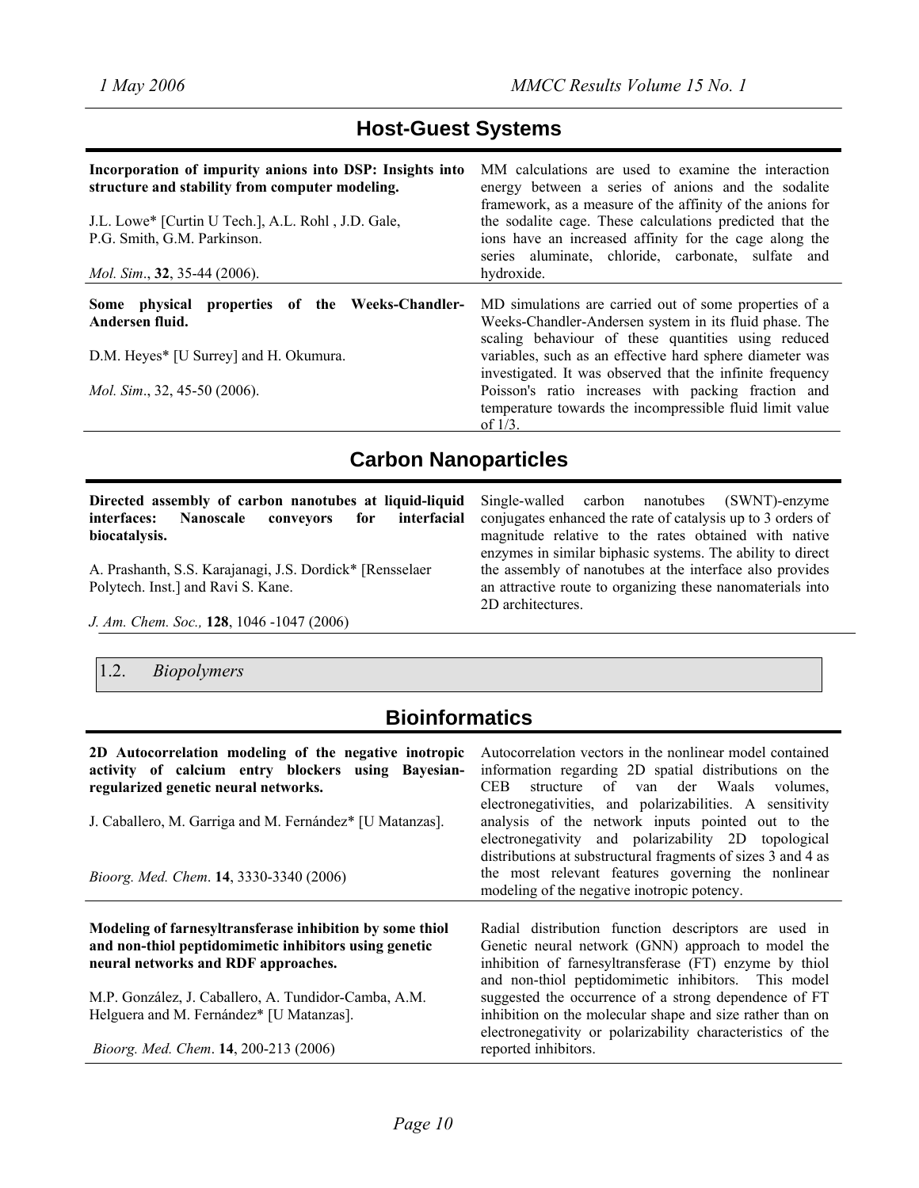## **Host-Guest Systems**

| Incorporation of impurity anions into DSP: Insights into<br>structure and stability from computer modeling.<br>J.L. Lowe* [Curtin U Tech.], A.L. Rohl, J.D. Gale,<br>P.G. Smith, G.M. Parkinson.<br><i>Mol. Sim.</i> , 32, 35-44 (2006). | MM calculations are used to examine the interaction<br>energy between a series of anions and the sodalite<br>framework, as a measure of the affinity of the anions for<br>the sodalite cage. These calculations predicted that the<br>ions have an increased affinity for the cage along the<br>series aluminate, chloride, carbonate, sulfate and<br>hydroxide.                                                                  |
|------------------------------------------------------------------------------------------------------------------------------------------------------------------------------------------------------------------------------------------|-----------------------------------------------------------------------------------------------------------------------------------------------------------------------------------------------------------------------------------------------------------------------------------------------------------------------------------------------------------------------------------------------------------------------------------|
| Some physical properties of the Weeks-Chandler-<br>Andersen fluid.<br>D.M. Heyes* [U Surrey] and H. Okumura.<br><i>Mol. Sim.</i> , 32, 45-50 $(2006)$ .                                                                                  | MD simulations are carried out of some properties of a<br>Weeks-Chandler-Andersen system in its fluid phase. The<br>scaling behaviour of these quantities using reduced<br>variables, such as an effective hard sphere diameter was<br>investigated. It was observed that the infinite frequency<br>Poisson's ratio increases with packing fraction and<br>temperature towards the incompressible fluid limit value<br>of $1/3$ . |

## **Carbon Nanoparticles**

| Directed assembly of carbon nanotubes at liquid-liquid Single-walled carbon nanotubes (SWNT)-enzyme |                                                             |
|-----------------------------------------------------------------------------------------------------|-------------------------------------------------------------|
| Nanoscale conveyors for interfacial<br>interfaces:                                                  | conjugates enhanced the rate of catalysis up to 3 orders of |
| biocatalvsis.                                                                                       | magnitude relative to the rates obtained with native        |
|                                                                                                     | enzymes in similar biphasic systems. The ability to direct  |
| A. Prashanth, S.S. Karajanagi, J.S. Dordick* [Rensselaer]                                           | the assembly of nanotubes at the interface also provides    |
| Polytech. Inst.] and Ravi S. Kane.                                                                  | an attractive route to organizing these nanomaterials into  |
|                                                                                                     | 2D architectures.                                           |

*J. Am. Chem. Soc.,* **128**, 1046 -1047 (2006)

#### 1.2. *Biopolymers*

# **Bioinformatics**

**2D Autocorrelation modeling of the negative inotropic activity of calcium entry blockers using Bayesianregularized genetic neural networks.**  J. Caballero, M. Garriga and M. Fernández\* [U Matanzas]. *Bioorg. Med. Chem*. **14**, 3330-3340 (2006) Autocorrelation vectors in the nonlinear model contained information regarding 2D spatial distributions on the CEB structure of van der Waals volumes, electronegativities, and polarizabilities. A sensitivity analysis of the network inputs pointed out to the electronegativity and polarizability 2D topological distributions at substructural fragments of sizes 3 and 4 as the most relevant features governing the nonlinear modeling of the negative inotropic potency. **Modeling of farnesyltransferase inhibition by some thiol and non-thiol peptidomimetic inhibitors using genetic neural networks and RDF approaches.**  M.P. González, J. Caballero, A. Tundidor-Camba, A.M. Helguera and M. Fernández\* [U Matanzas]. *Bioorg. Med. Chem*. **14**, 200-213 (2006) Radial distribution function descriptors are used in Genetic neural network (GNN) approach to model the inhibition of farnesyltransferase (FT) enzyme by thiol and non-thiol peptidomimetic inhibitors. This model suggested the occurrence of a strong dependence of FT inhibition on the molecular shape and size rather than on electronegativity or polarizability characteristics of the reported inhibitors.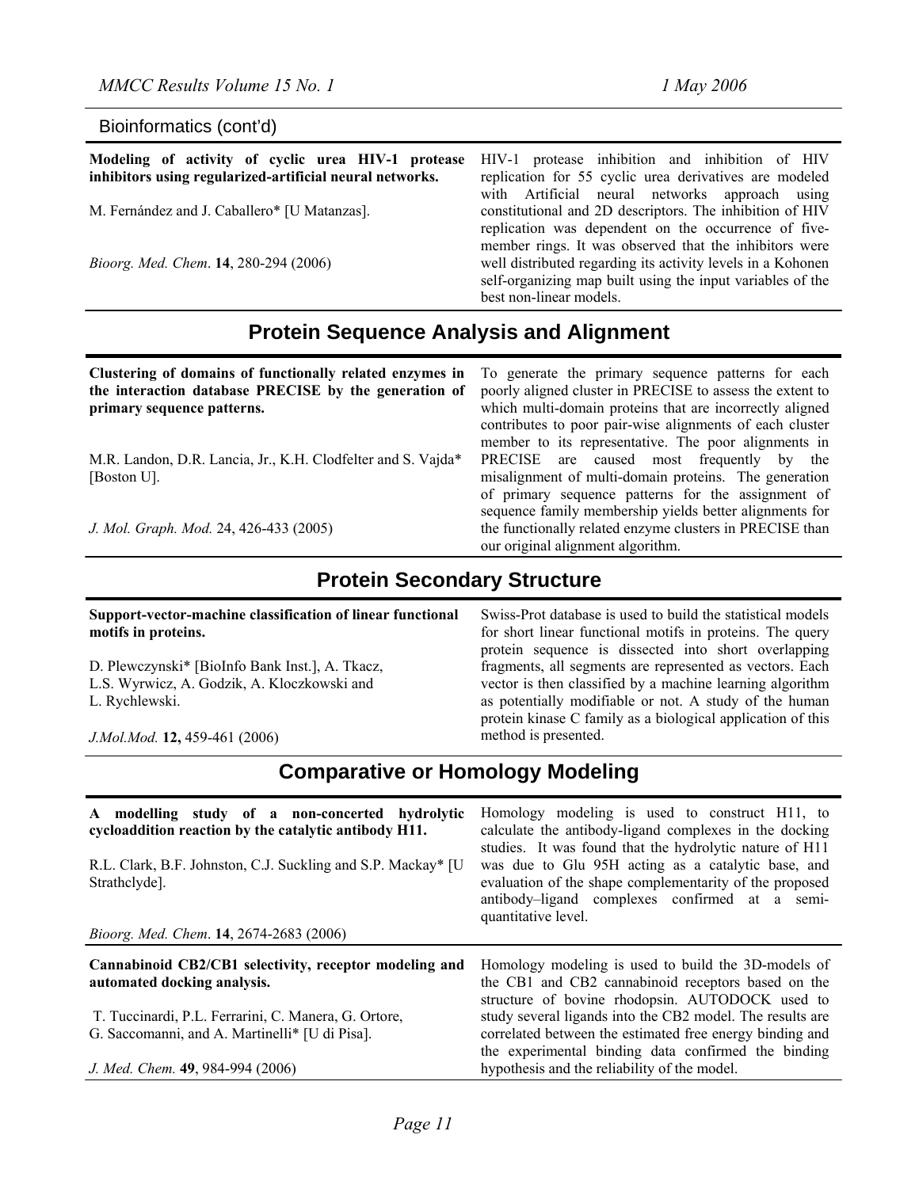Bioinformatics (cont'd) **Modeling of activity of cyclic urea HIV-1 protease inhibitors using regularized-artificial neural networks.**  M. Fernández and J. Caballero\* [U Matanzas]. *Bioorg. Med. Chem*. **14**, 280-294 (2006) HIV-1 protease inhibition and inhibition of HIV replication for 55 cyclic urea derivatives are modeled with Artificial neural networks approach using constitutional and 2D descriptors. The inhibition of HIV replication was dependent on the occurrence of fivemember rings. It was observed that the inhibitors were well distributed regarding its activity levels in a Kohonen self-organizing map built using the input variables of the best non-linear models.

## **Protein Sequence Analysis and Alignment**

**Clustering of domains of functionally related enzymes in the interaction database PRECISE by the generation of primary sequence patterns.** 

M.R. Landon, D.R. Lancia, Jr., K.H. Clodfelter and S. Vajda\* [Boston U].

*J. Mol. Graph. Mod.* 24, 426-433 (2005)

To generate the primary sequence patterns for each poorly aligned cluster in PRECISE to assess the extent to which multi-domain proteins that are incorrectly aligned contributes to poor pair-wise alignments of each cluster member to its representative. The poor alignments in PRECISE are caused most frequently by the misalignment of multi-domain proteins. The generation of primary sequence patterns for the assignment of sequence family membership yields better alignments for the functionally related enzyme clusters in PRECISE than our original alignment algorithm.

## **Protein Secondary Structure**

**Support-vector-machine classification of linear functional motifs in proteins.** 

D. Plewczynski\* [BioInfo Bank Inst.], A. Tkacz, L.S. Wyrwicz, A. Godzik, A. Kloczkowski and L. Rychlewski.

*J.Mol.Mod.* **12,** 459-461 (2006)

Swiss-Prot database is used to build the statistical models for short linear functional motifs in proteins. The query protein sequence is dissected into short overlapping fragments, all segments are represented as vectors. Each vector is then classified by a machine learning algorithm as potentially modifiable or not. A study of the human protein kinase C family as a biological application of this method is presented.

## **Comparative or Homology Modeling**

| A modelling study of a non-concerted hydrolytic<br>cycloaddition reaction by the catalytic antibody H11.<br>R.L. Clark, B.F. Johnston, C.J. Suckling and S.P. Mackay* [U<br>Strathclyde]. | Homology modeling is used to construct H11, to<br>calculate the antibody-ligand complexes in the docking<br>studies. It was found that the hydrolytic nature of H11<br>was due to Glu 95H acting as a catalytic base, and<br>evaluation of the shape complementarity of the proposed<br>antibody-ligand complexes confirmed at a semi-<br>quantitative level. |
|-------------------------------------------------------------------------------------------------------------------------------------------------------------------------------------------|---------------------------------------------------------------------------------------------------------------------------------------------------------------------------------------------------------------------------------------------------------------------------------------------------------------------------------------------------------------|
| Bioorg. Med. Chem. 14, 2674-2683 (2006)                                                                                                                                                   |                                                                                                                                                                                                                                                                                                                                                               |
| Cannabinoid CB2/CB1 selectivity, receptor modeling and<br>automated docking analysis.                                                                                                     | Homology modeling is used to build the 3D-models of<br>the CB1 and CB2 cannabinoid receptors based on the<br>structure of bovine rhodopsin. AUTODOCK used to                                                                                                                                                                                                  |
| T. Tuccinardi, P.L. Ferrarini, C. Manera, G. Ortore,<br>G. Saccomanni, and A. Martinelli* [U di Pisa].                                                                                    | study several ligands into the CB2 model. The results are<br>correlated between the estimated free energy binding and<br>the experimental binding data confirmed the binding                                                                                                                                                                                  |
| J. Med. Chem. 49, 984-994 (2006)                                                                                                                                                          | hypothesis and the reliability of the model.                                                                                                                                                                                                                                                                                                                  |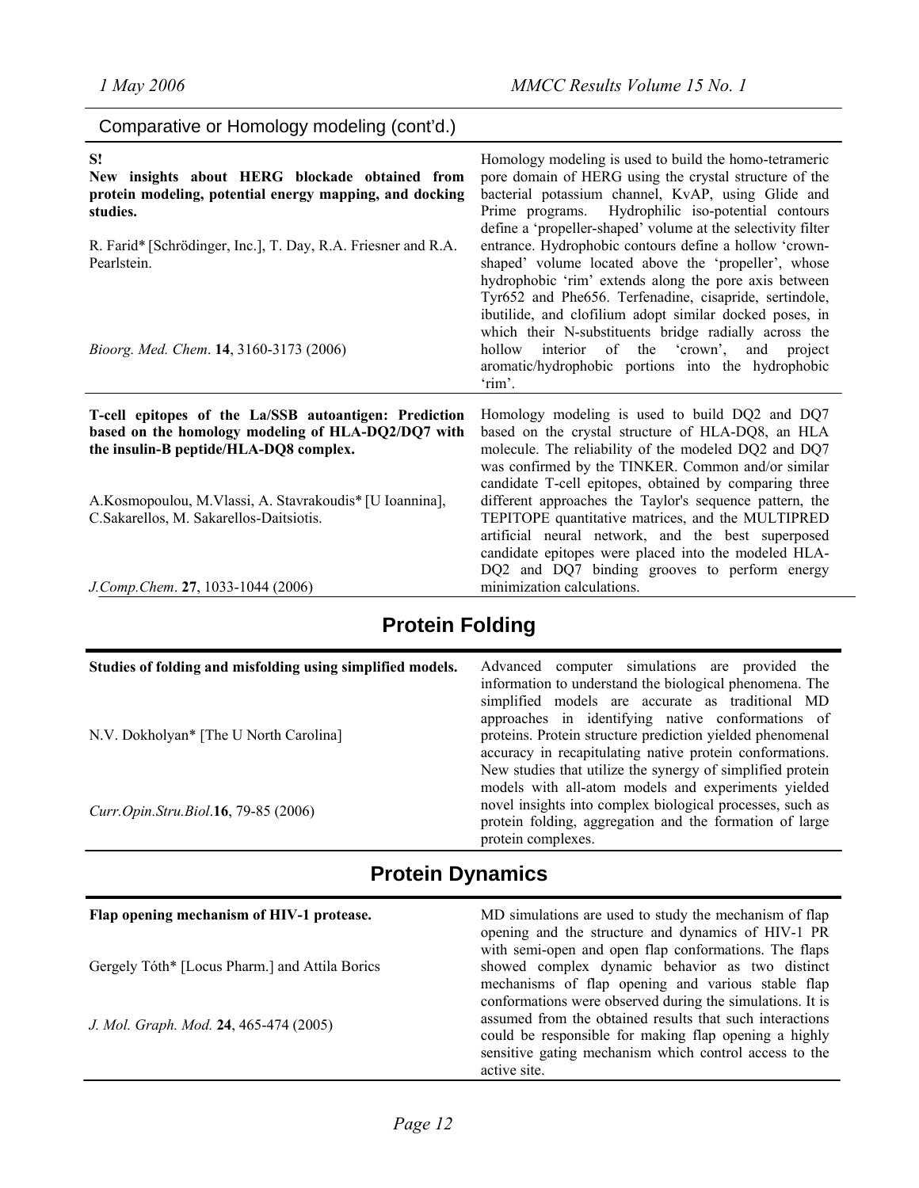| Comparative or Homology modeling (cont'd.)                                                                                                                                                                                                                  |                                                                                                                                                                                                                                                                                                                                                                                                                                                                                                                                                                                                                                                                                                                                                                           |
|-------------------------------------------------------------------------------------------------------------------------------------------------------------------------------------------------------------------------------------------------------------|---------------------------------------------------------------------------------------------------------------------------------------------------------------------------------------------------------------------------------------------------------------------------------------------------------------------------------------------------------------------------------------------------------------------------------------------------------------------------------------------------------------------------------------------------------------------------------------------------------------------------------------------------------------------------------------------------------------------------------------------------------------------------|
| S!<br>New insights about HERG blockade obtained from<br>protein modeling, potential energy mapping, and docking<br>studies.<br>R. Farid* [Schrödinger, Inc.], T. Day, R.A. Friesner and R.A.<br>Pearlstein.<br>Bioorg. Med. Chem. 14, 3160-3173 (2006)      | Homology modeling is used to build the homo-tetrameric<br>pore domain of HERG using the crystal structure of the<br>bacterial potassium channel, KvAP, using Glide and<br>Hydrophilic iso-potential contours<br>Prime programs.<br>define a 'propeller-shaped' volume at the selectivity filter<br>entrance. Hydrophobic contours define a hollow 'crown-<br>shaped' volume located above the 'propeller', whose<br>hydrophobic 'rim' extends along the pore axis between<br>Tyr652 and Phe656. Terfenadine, cisapride, sertindole,<br>ibutilide, and clofilium adopt similar docked poses, in<br>which their N-substituents bridge radially across the<br>interior of the 'crown', and project<br>hollow<br>aromatic/hydrophobic portions into the hydrophobic<br>'rim'. |
| T-cell epitopes of the La/SSB autoantigen: Prediction<br>based on the homology modeling of HLA-DQ2/DQ7 with<br>the insulin-B peptide/HLA-DQ8 complex.<br>A.Kosmopoulou, M.Vlassi, A. Stavrakoudis* [U Ioannina],<br>C.Sakarellos, M. Sakarellos-Daitsiotis. | Homology modeling is used to build DQ2 and DQ7<br>based on the crystal structure of HLA-DQ8, an HLA<br>molecule. The reliability of the modeled DQ2 and DQ7<br>was confirmed by the TINKER. Common and/or similar<br>candidate T-cell epitopes, obtained by comparing three<br>different approaches the Taylor's sequence pattern, the<br>TEPITOPE quantitative matrices, and the MULTIPRED<br>artificial neural network, and the best superposed<br>candidate epitopes were placed into the modeled HLA-<br>DQ2 and DQ7 binding grooves to perform energy                                                                                                                                                                                                                |
| J.Comp.Chem. 27, 1033-1044 (2006)                                                                                                                                                                                                                           | minimization calculations.                                                                                                                                                                                                                                                                                                                                                                                                                                                                                                                                                                                                                                                                                                                                                |

# **Protein Folding**

| Studies of folding and misfolding using simplified models. | Advanced computer simulations are provided the<br>information to understand the biological phenomena. The<br>simplified models are accurate as traditional MD<br>approaches in identifying native conformations of                                              |
|------------------------------------------------------------|-----------------------------------------------------------------------------------------------------------------------------------------------------------------------------------------------------------------------------------------------------------------|
| N.V. Dokholyan* [The U North Carolina]                     | proteins. Protein structure prediction yielded phenomenal<br>accuracy in recapitulating native protein conformations.                                                                                                                                           |
| Curr.Opin.Stru.Biol.16, 79-85 (2006)                       | New studies that utilize the synergy of simplified protein<br>models with all-atom models and experiments yielded<br>novel insights into complex biological processes, such as<br>protein folding, aggregation and the formation of large<br>protein complexes. |

# **Protein Dynamics**

| Flap opening mechanism of HIV-1 protease.      | MD simulations are used to study the mechanism of flap<br>opening and the structure and dynamics of HIV-1 PR                                                                                                                             |
|------------------------------------------------|------------------------------------------------------------------------------------------------------------------------------------------------------------------------------------------------------------------------------------------|
| Gergely Tóth* [Locus Pharm.] and Attila Borics | with semi-open and open flap conformations. The flaps<br>showed complex dynamic behavior as two distinct<br>mechanisms of flap opening and various stable flap                                                                           |
| J. Mol. Graph. Mod. 24, 465-474 (2005)         | conformations were observed during the simulations. It is<br>assumed from the obtained results that such interactions<br>could be responsible for making flap opening a highly<br>sensitive gating mechanism which control access to the |
|                                                | active site.                                                                                                                                                                                                                             |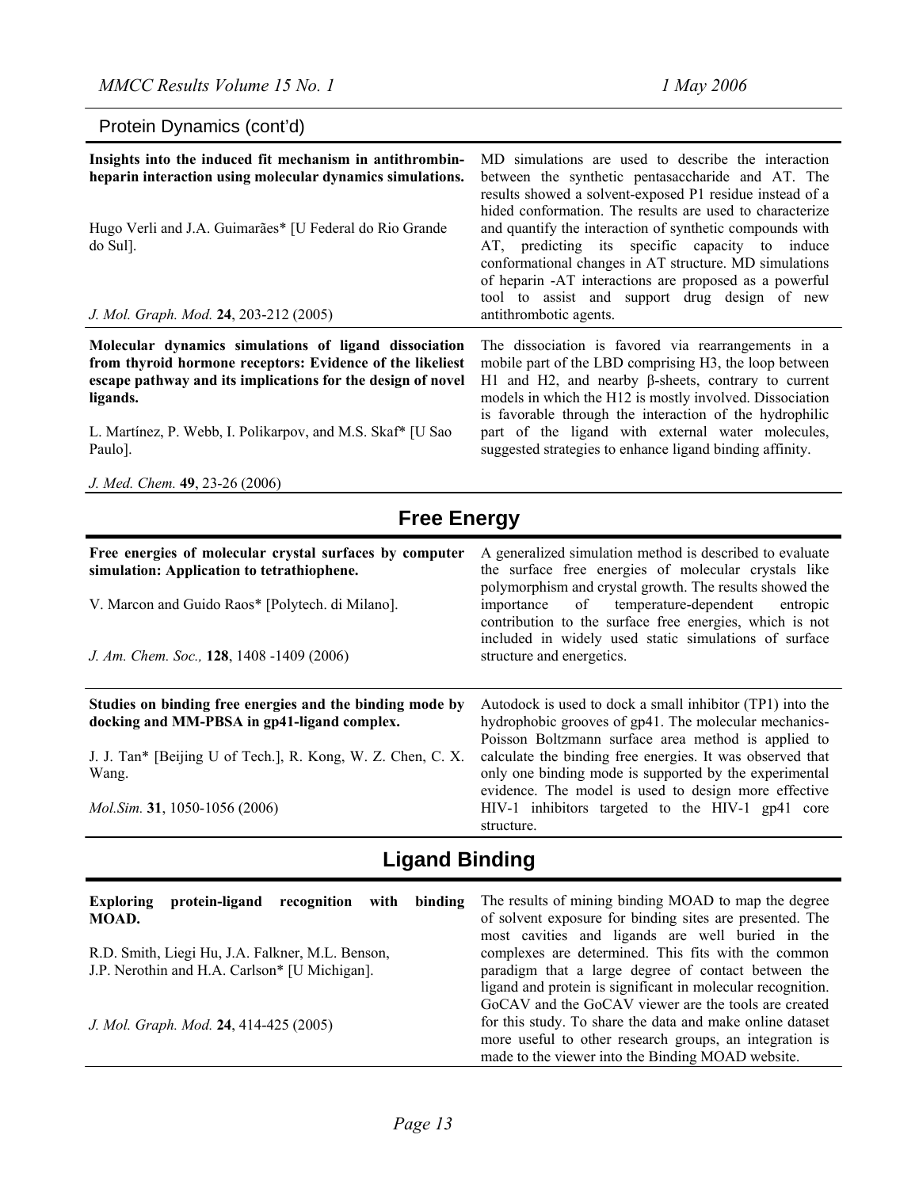polymorphism and crystal growth. The results showed the importance of temperature-dependent entropic contribution to the surface free energies, which is not included in widely used static simulations of surface

#### Protein Dynamics (cont'd)

| Insights into the induced fit mechanism in antithrombin-<br>heparin interaction using molecular dynamics simulations.<br>Hugo Verli and J.A. Guimarães* [U Federal do Rio Grande<br>do Sul].<br>J. Mol. Graph. Mod. 24, 203-212 (2005) | MD simulations are used to describe the interaction<br>between the synthetic pentasaccharide and AT. The<br>results showed a solvent-exposed P1 residue instead of a<br>hided conformation. The results are used to characterize<br>and quantify the interaction of synthetic compounds with<br>AT, predicting its specific capacity to induce<br>conformational changes in AT structure. MD simulations<br>of heparin -AT interactions are proposed as a powerful<br>tool to assist and support drug design of new<br>antithrombotic agents. |
|----------------------------------------------------------------------------------------------------------------------------------------------------------------------------------------------------------------------------------------|-----------------------------------------------------------------------------------------------------------------------------------------------------------------------------------------------------------------------------------------------------------------------------------------------------------------------------------------------------------------------------------------------------------------------------------------------------------------------------------------------------------------------------------------------|
| Molecular dynamics simulations of ligand dissociation                                                                                                                                                                                  | The dissociation is favored via rearrangements in a                                                                                                                                                                                                                                                                                                                                                                                                                                                                                           |
| from thyroid hormone receptors: Evidence of the likeliest                                                                                                                                                                              | mobile part of the LBD comprising H3, the loop between                                                                                                                                                                                                                                                                                                                                                                                                                                                                                        |
| escape pathway and its implications for the design of novel                                                                                                                                                                            | H1 and H2, and nearby β-sheets, contrary to current                                                                                                                                                                                                                                                                                                                                                                                                                                                                                           |
| ligands.                                                                                                                                                                                                                               | models in which the H12 is mostly involved. Dissociation                                                                                                                                                                                                                                                                                                                                                                                                                                                                                      |
| L. Martínez, P. Webb, I. Polikarpov, and M.S. Skaf* [U Sao                                                                                                                                                                             | is favorable through the interaction of the hydrophilic                                                                                                                                                                                                                                                                                                                                                                                                                                                                                       |
| Paulo].                                                                                                                                                                                                                                | part of the ligand with external water molecules,                                                                                                                                                                                                                                                                                                                                                                                                                                                                                             |
| J. Med. Chem. 49, 23-26 (2006)                                                                                                                                                                                                         | suggested strategies to enhance ligand binding affinity.                                                                                                                                                                                                                                                                                                                                                                                                                                                                                      |
| <b>Free Energy</b>                                                                                                                                                                                                                     |                                                                                                                                                                                                                                                                                                                                                                                                                                                                                                                                               |
| Free energies of molecular crystal surfaces by computer                                                                                                                                                                                | A generalized simulation method is described to evaluate                                                                                                                                                                                                                                                                                                                                                                                                                                                                                      |
| simulation: Application to tetrathiophene.                                                                                                                                                                                             | the surface free energies of molecular crystals like                                                                                                                                                                                                                                                                                                                                                                                                                                                                                          |

V. Marcon and Guido Raos\* [Polytech. di Milano].

*J. Am. Chem. Soc.,* **128**, 1408 -1409 (2006)

| Studies on binding free energies and the binding mode by<br>docking and MM-PBSA in gp41-ligand complex. | Autodock is used to dock a small inhibitor (TP1) into the<br>hydrophobic grooves of gp41. The molecular mechanics-     |
|---------------------------------------------------------------------------------------------------------|------------------------------------------------------------------------------------------------------------------------|
| J. J. Tan* [Beijing U of Tech.], R. Kong, W. Z. Chen, C. X.                                             | Poisson Boltzmann surface area method is applied to<br>calculate the binding free energies. It was observed that       |
| Wang.                                                                                                   | only one binding mode is supported by the experimental                                                                 |
| <i>Mol.Sim.</i> 31, 1050-1056 (2006)                                                                    | evidence. The model is used to design more effective<br>HIV-1 inhibitors targeted to the HIV-1 gp41 core<br>structure. |

structure and energetics.

# **Ligand Binding**

| <b>Exploring</b><br>protein-ligand<br>recognition with<br>binding<br>MOAD.                        | The results of mining binding MOAD to map the degree<br>of solvent exposure for binding sites are presented. The<br>most cavities and ligands are well buried in the      |
|---------------------------------------------------------------------------------------------------|---------------------------------------------------------------------------------------------------------------------------------------------------------------------------|
| R.D. Smith, Liegi Hu, J.A. Falkner, M.L. Benson,<br>J.P. Nerothin and H.A. Carlson* [U Michigan]. | complexes are determined. This fits with the common<br>paradigm that a large degree of contact between the                                                                |
|                                                                                                   | ligand and protein is significant in molecular recognition.<br>GoCAV and the GoCAV viewer are the tools are created                                                       |
| J. Mol. Graph. Mod. 24, 414-425 (2005)                                                            | for this study. To share the data and make online dataset<br>more useful to other research groups, an integration is<br>made to the viewer into the Binding MOAD website. |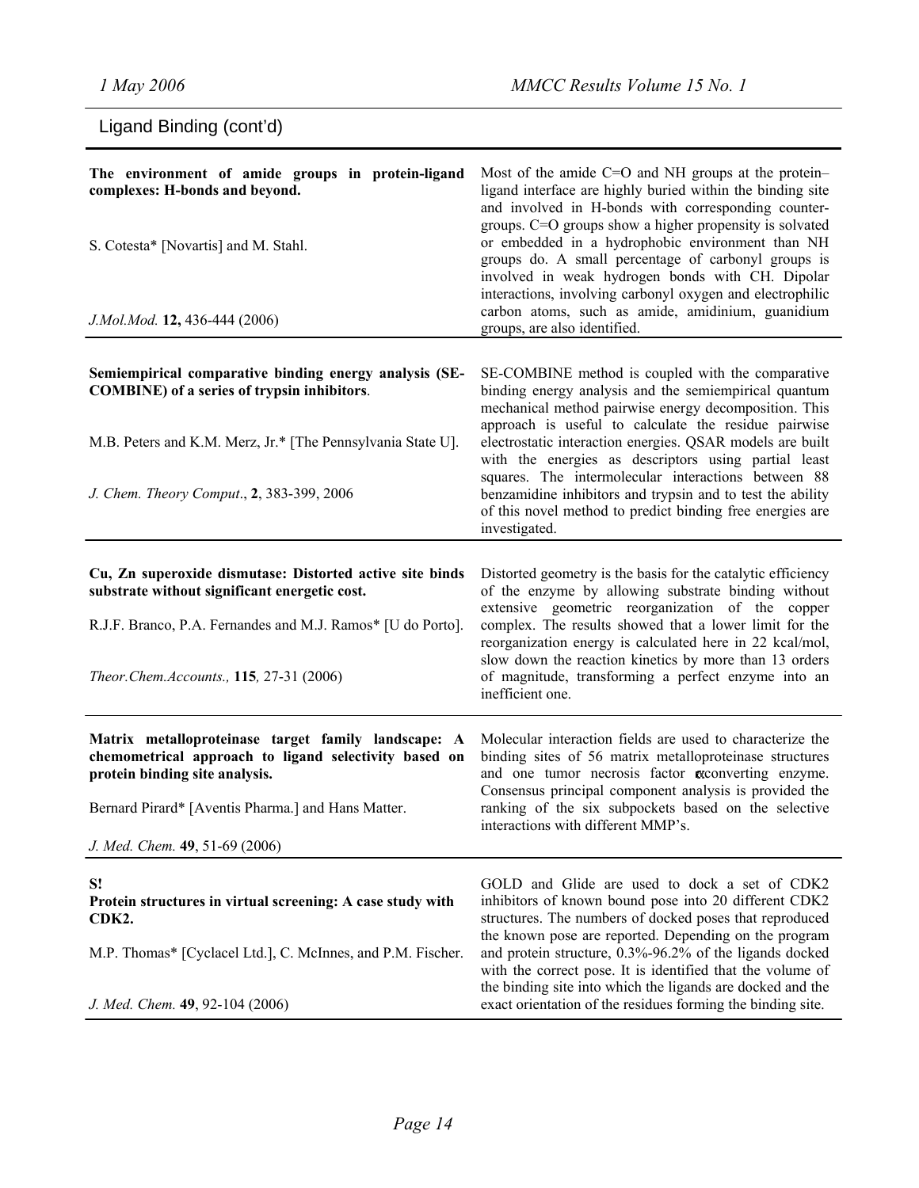| Ligand Binding (cont'd)                                                                                                                                                                                                                |                                                                                                                                                                                                                                                                                                                                                                                                                                                                                                                                                      |  |
|----------------------------------------------------------------------------------------------------------------------------------------------------------------------------------------------------------------------------------------|------------------------------------------------------------------------------------------------------------------------------------------------------------------------------------------------------------------------------------------------------------------------------------------------------------------------------------------------------------------------------------------------------------------------------------------------------------------------------------------------------------------------------------------------------|--|
| The environment of amide groups in protein-ligand<br>complexes: H-bonds and beyond.<br>S. Cotesta* [Novartis] and M. Stahl.<br>J.Mol.Mod. 12, 436-444 (2006)                                                                           | Most of the amide C=O and NH groups at the protein-<br>ligand interface are highly buried within the binding site<br>and involved in H-bonds with corresponding counter-<br>groups. C=O groups show a higher propensity is solvated<br>or embedded in a hydrophobic environment than NH<br>groups do. A small percentage of carbonyl groups is<br>involved in weak hydrogen bonds with CH. Dipolar<br>interactions, involving carbonyl oxygen and electrophilic<br>carbon atoms, such as amide, amidinium, guanidium<br>groups, are also identified. |  |
| Semiempirical comparative binding energy analysis (SE-<br><b>COMBINE</b> ) of a series of trypsin inhibitors.<br>M.B. Peters and K.M. Merz, Jr.* [The Pennsylvania State U].<br>J. Chem. Theory Comput., 2, 383-399, 2006              | SE-COMBINE method is coupled with the comparative<br>binding energy analysis and the semiempirical quantum<br>mechanical method pairwise energy decomposition. This<br>approach is useful to calculate the residue pairwise<br>electrostatic interaction energies. QSAR models are built<br>with the energies as descriptors using partial least<br>squares. The intermolecular interactions between 88<br>benzamidine inhibitors and trypsin and to test the ability<br>of this novel method to predict binding free energies are                   |  |
| Cu, Zn superoxide dismutase: Distorted active site binds<br>substrate without significant energetic cost.<br>R.J.F. Branco, P.A. Fernandes and M.J. Ramos* [U do Porto].<br>Theor.Chem.Accounts., 115, 27-31 (2006)                    | investigated.<br>Distorted geometry is the basis for the catalytic efficiency<br>of the enzyme by allowing substrate binding without<br>extensive geometric reorganization of the copper<br>complex. The results showed that a lower limit for the<br>reorganization energy is calculated here in 22 kcal/mol,<br>slow down the reaction kinetics by more than 13 orders<br>of magnitude, transforming a perfect enzyme into an<br>inefficient one.                                                                                                  |  |
| Matrix metalloproteinase target family landscape: A<br>chemometrical approach to ligand selectivity based on<br>protein binding site analysis.<br>Bernard Pirard* [Aventis Pharma.] and Hans Matter.<br>J. Med. Chem. 49, 51-69 (2006) | Molecular interaction fields are used to characterize the<br>binding sites of 56 matrix metalloproteinase structures<br>and one tumor necrosis factor reconverting enzyme.<br>Consensus principal component analysis is provided the<br>ranking of the six subpockets based on the selective<br>interactions with different MMP's.                                                                                                                                                                                                                   |  |
| S!<br>Protein structures in virtual screening: A case study with<br>CDK2.<br>M.P. Thomas* [Cyclacel Ltd.], C. McInnes, and P.M. Fischer.<br>J. Med. Chem. 49, 92-104 (2006)                                                            | GOLD and Glide are used to dock a set of CDK2<br>inhibitors of known bound pose into 20 different CDK2<br>structures. The numbers of docked poses that reproduced<br>the known pose are reported. Depending on the program<br>and protein structure, 0.3%-96.2% of the ligands docked<br>with the correct pose. It is identified that the volume of<br>the binding site into which the ligands are docked and the<br>exact orientation of the residues forming the binding site.                                                                     |  |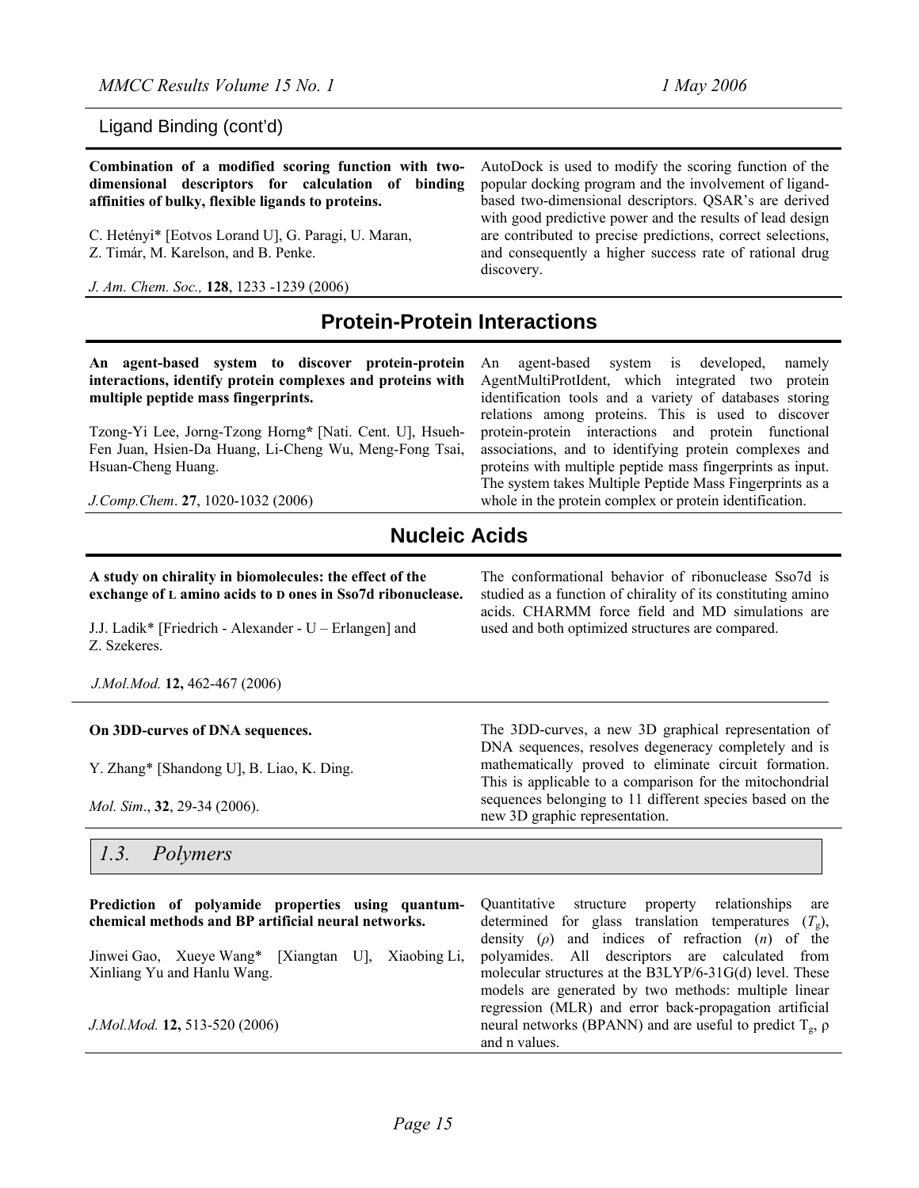Ligand Binding (cont'd)

| Combination of a modified scoring function with two- | AutoDock is used to modify the scoring function of the      |
|------------------------------------------------------|-------------------------------------------------------------|
| dimensional descriptors for calculation of binding   | popular docking program and the involvement of ligand-      |
| affinities of bulky, flexible ligands to proteins.   | based two-dimensional descriptors. QSAR's are derived       |
|                                                      | with good predictive power and the results of lead design   |
| C. Hetényi* [Eotvos Lorand U], G. Paragi, U. Maran,  | are contributed to precise predictions, correct selections, |
| Z. Timár, M. Karelson, and B. Penke.                 | and consequently a higher success rate of rational drug     |
|                                                      | discovery.                                                  |
| J. Am. Chem. Soc., 128, 1233 -1239 (2006)            |                                                             |
| <b>Protein-Protein Interactions</b>                  |                                                             |

**An agent-based system to discover protein-protein interactions, identify protein complexes and proteins with multiple peptide mass fingerprints.** 

Tzong-Yi Lee, Jorng-Tzong Horng**\*** [Nati. Cent. U], Hsueh-Fen Juan, Hsien-Da Huang, Li-Cheng Wu, Meng-Fong Tsai, Hsuan-Cheng Huang.

*J.Comp.Chem*. **27**, 1020-1032 (2006)

An agent-based system is developed, namely AgentMultiProtIdent, which integrated two protein identification tools and a variety of databases storing relations among proteins. This is used to discover protein-protein interactions and protein functional associations, and to identifying protein complexes and proteins with multiple peptide mass fingerprints as input. The system takes Multiple Peptide Mass Fingerprints as a whole in the protein complex or protein identification.

The conformational behavior of ribonuclease Sso7d is studied as a function of chirality of its constituting amino acids. CHARMM force field and MD simulations are

The 3DD-curves, a new 3D graphical representation of DNA sequences, resolves degeneracy completely and is mathematically proved to eliminate circuit formation. This is applicable to a comparison for the mitochondrial sequences belonging to 11 different species based on the

used and both optimized structures are compared.

new 3D graphic representation.

# **Nucleic Acids**

**A study on chirality in biomolecules: the effect of the exchange of L amino acids to D ones in Sso7d ribonuclease.** 

J.J. Ladik\* [Friedrich - Alexander - U – Erlangen] and Z. Szekeres.

*J.Mol.Mod.* **12,** 462-467 (2006)

#### **On 3DD-curves of DNA sequences.**

Y. Zhang\* [Shandong U], B. Liao, K. Ding.

*Mol. Sim*., **32**, 29-34 (2006).

#### *1.3. Polymers*

| Prediction of polyamide properties using quantum-<br>chemical methods and BP artificial neural networks. | Quantitative structure<br>relationships<br>property<br>are<br>determined for glass translation temperatures $(T_g)$ ,                       |
|----------------------------------------------------------------------------------------------------------|---------------------------------------------------------------------------------------------------------------------------------------------|
| Jinwei Gao, Xueve Wang* [Xiangtan U], Xiaobing Li,                                                       | density $(\rho)$ and indices of refraction $(n)$ of the<br>polyamides. All descriptors are calculated from                                  |
| Xinliang Yu and Hanlu Wang.                                                                              | molecular structures at the $B3LYP/6-31G(d)$ level. These<br>models are generated by two methods: multiple linear                           |
| J.Mol.Mod. 12, 513-520 (2006)                                                                            | regression (MLR) and error back-propagation artificial<br>neural networks (BPANN) and are useful to predict $T_g$ , $\rho$<br>and n values. |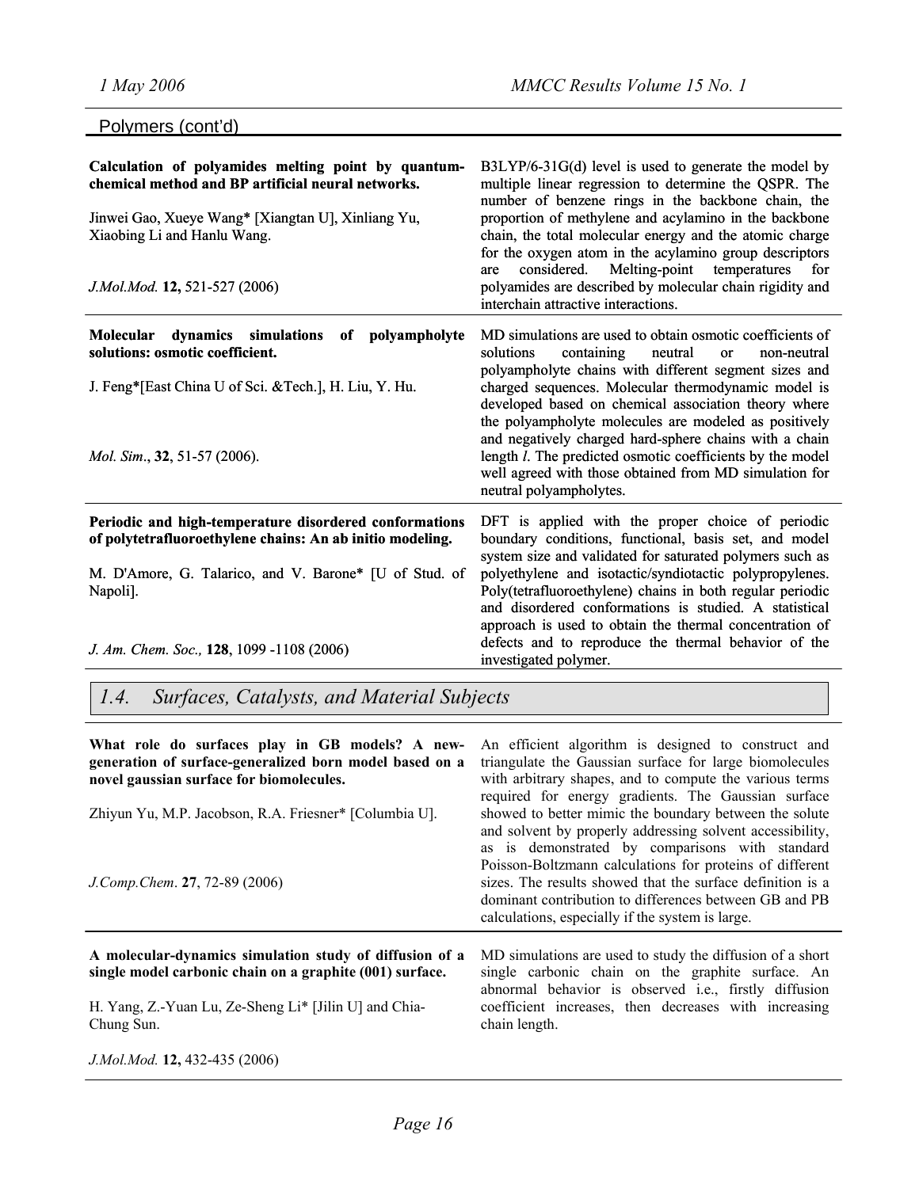| Polymers (cont'd)                                                                                                                                                                                                                      |                                                                                                                                                                                                                                                                                                                                                                                                                                                                                                                                                                                      |
|----------------------------------------------------------------------------------------------------------------------------------------------------------------------------------------------------------------------------------------|--------------------------------------------------------------------------------------------------------------------------------------------------------------------------------------------------------------------------------------------------------------------------------------------------------------------------------------------------------------------------------------------------------------------------------------------------------------------------------------------------------------------------------------------------------------------------------------|
| Calculation of polyamides melting point by quantum-<br>chemical method and BP artificial neural networks.<br>Jinwei Gao, Xueye Wang* [Xiangtan U], Xinliang Yu,<br>Xiaobing Li and Hanlu Wang.<br>J.Mol.Mod. 12, 521-527 (2006)        | B3LYP/6-31G(d) level is used to generate the model by<br>multiple linear regression to determine the QSPR. The<br>number of benzene rings in the backbone chain, the<br>proportion of methylene and acylamino in the backbone<br>chain, the total molecular energy and the atomic charge<br>for the oxygen atom in the acylamino group descriptors<br>Melting-point temperatures<br>considered.<br>for<br>are<br>polyamides are described by molecular chain rigidity and<br>interchain attractive interactions.                                                                     |
| Molecular<br>dynamics simulations<br>polyampholyte<br>of<br>solutions: osmotic coefficient.<br>J. Feng*[East China U of Sci. & Tech.], H. Liu, Y. Hu.<br><i>Mol. Sim.</i> , 32, 51-57 (2006).                                          | MD simulations are used to obtain osmotic coefficients of<br>solutions<br>containing<br>neutral<br><sub>or</sub><br>non-neutral<br>polyampholyte chains with different segment sizes and<br>charged sequences. Molecular thermodynamic model is<br>developed based on chemical association theory where<br>the polyampholyte molecules are modeled as positively<br>and negatively charged hard-sphere chains with a chain<br>length <i>l</i> . The predicted osmotic coefficients by the model<br>well agreed with those obtained from MD simulation for<br>neutral polyampholytes. |
| Periodic and high-temperature disordered conformations<br>of polytetrafluoroethylene chains: An ab initio modeling.<br>M. D'Amore, G. Talarico, and V. Barone* [U of Stud. of<br>Napoli].<br>J. Am. Chem. Soc., 128, 1099 -1108 (2006) | DFT is applied with the proper choice of periodic<br>boundary conditions, functional, basis set, and model<br>system size and validated for saturated polymers such as<br>polyethylene and isotactic/syndiotactic polypropylenes.<br>Poly(tetrafluoroethylene) chains in both regular periodic<br>and disordered conformations is studied. A statistical<br>approach is used to obtain the thermal concentration of<br>defects and to reproduce the thermal behavior of the<br>investigated polymer.                                                                                 |

*1.4. Surfaces, Catalysts, and Material Subjects*

| What role do surfaces play in GB models? A new-<br>generation of surface-generalized born model based on a<br>novel gaussian surface for biomolecules.                       | An efficient algorithm is designed to construct and<br>triangulate the Gaussian surface for large biomolecules<br>with arbitrary shapes, and to compute the various terms<br>required for energy gradients. The Gaussian surface                                                                                                                                                                               |
|------------------------------------------------------------------------------------------------------------------------------------------------------------------------------|----------------------------------------------------------------------------------------------------------------------------------------------------------------------------------------------------------------------------------------------------------------------------------------------------------------------------------------------------------------------------------------------------------------|
| Zhiyun Yu, M.P. Jacobson, R.A. Friesner* [Columbia U].<br>J.Comp.Chem. 27, 72-89 (2006)                                                                                      | showed to better mimic the boundary between the solute<br>and solvent by properly addressing solvent accessibility,<br>as is demonstrated by comparisons with standard<br>Poisson-Boltzmann calculations for proteins of different<br>sizes. The results showed that the surface definition is a<br>dominant contribution to differences between GB and PB<br>calculations, especially if the system is large. |
| A molecular-dynamics simulation study of diffusion of a<br>single model carbonic chain on a graphite (001) surface.<br>H. Yang, Z.-Yuan Lu, Ze-Sheng Li* [Jilin U] and Chia- | MD simulations are used to study the diffusion of a short<br>single carbonic chain on the graphite surface. An<br>abnormal behavior is observed i.e., firstly diffusion<br>coefficient increases, then decreases with increasing                                                                                                                                                                               |
| Chung Sun.<br>J.Mol.Mod. 12, 432-435 (2006)                                                                                                                                  | chain length.                                                                                                                                                                                                                                                                                                                                                                                                  |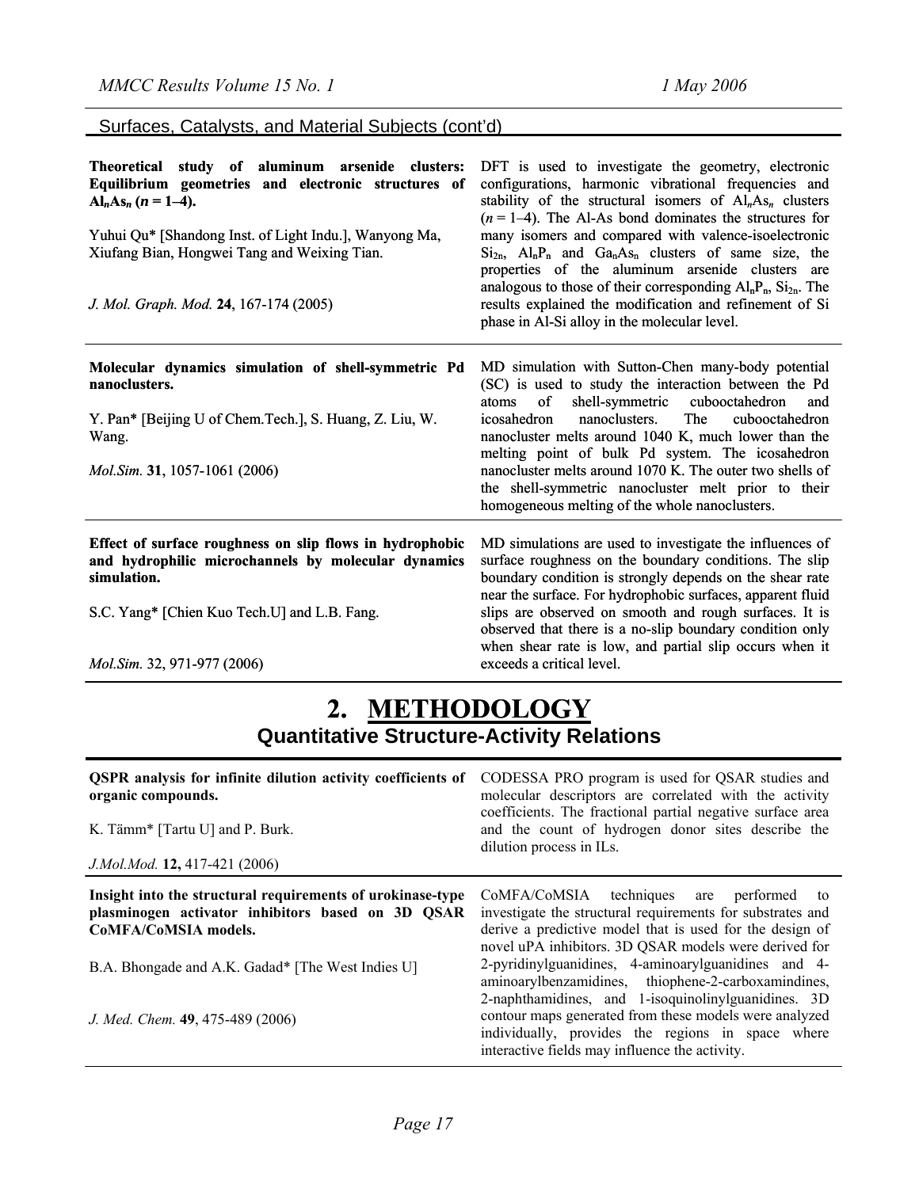Surfaces, Catalysts, and Material Subjects (cont'd)

| Theoretical study of aluminum arsenide clusters:<br>Equilibrium geometries and electronic structures of<br>$Al_nAs_n (n = 1-4).$<br>Yuhui Qu* [Shandong Inst. of Light Indu.], Wanyong Ma,<br>Xiufang Bian, Hongwei Tang and Weixing Tian.<br>J. Mol. Graph. Mod. 24, 167-174 (2005) | DFT is used to investigate the geometry, electronic<br>configurations, harmonic vibrational frequencies and<br>stability of the structural isomers of $Aln Asn$ clusters<br>$(n=1-4)$ . The Al-As bond dominates the structures for<br>many isomers and compared with valence-isoelectronic<br>$Si2n$ , $AlnPn$ and $GanAsn$ clusters of same size, the<br>properties of the aluminum arsenide clusters are<br>analogous to those of their corresponding $Al_nP_n$ , $Si_{2n}$ . The<br>results explained the modification and refinement of Si<br>phase in Al-Si alloy in the molecular level. |
|--------------------------------------------------------------------------------------------------------------------------------------------------------------------------------------------------------------------------------------------------------------------------------------|-------------------------------------------------------------------------------------------------------------------------------------------------------------------------------------------------------------------------------------------------------------------------------------------------------------------------------------------------------------------------------------------------------------------------------------------------------------------------------------------------------------------------------------------------------------------------------------------------|
| Molecular dynamics simulation of shell-symmetric Pd<br>nanoclusters.<br>Y. Pan* [Beijing U of Chem. Tech.], S. Huang, Z. Liu, W.<br>Wang.<br><i>Mol.Sim.</i> 31, 1057-1061 (2006)                                                                                                    | MD simulation with Sutton-Chen many-body potential<br>(SC) is used to study the interaction between the Pd<br>shell-symmetric<br>of<br>cubooctahedron<br>atoms<br>and<br>The<br>nanoclusters.<br>cubooctahedron<br>icosahedron<br>nanocluster melts around 1040 K, much lower than the<br>melting point of bulk Pd system. The icosahedron<br>nanocluster melts around 1070 K. The outer two shells of<br>the shell-symmetric nanocluster melt prior to their<br>homogeneous melting of the whole nanoclusters.                                                                                 |
| Effect of surface roughness on slip flows in hydrophobic<br>and hydrophilic microchannels by molecular dynamics<br>simulation.<br>S.C. Yang* [Chien Kuo Tech.U] and L.B. Fang.<br><i>Mol.Sim.</i> 32, 971-977 (2006)                                                                 | MD simulations are used to investigate the influences of<br>surface roughness on the boundary conditions. The slip<br>boundary condition is strongly depends on the shear rate<br>near the surface. For hydrophobic surfaces, apparent fluid<br>slips are observed on smooth and rough surfaces. It is<br>observed that there is a no-slip boundary condition only<br>when shear rate is low, and partial slip occurs when it<br>exceeds a critical level.                                                                                                                                      |

# **2. METHODOLOGY Quantitative Structure-Activity Relations**

| <b>QSPR</b> analysis for infinite dilution activity coefficients of<br>organic compounds.<br>K. Tämm* [Tartu U] and P. Burk.<br>J.Mol.Mod. 12, 417-421 (2006) | CODESSA PRO program is used for QSAR studies and<br>molecular descriptors are correlated with the activity<br>coefficients. The fractional partial negative surface area<br>and the count of hydrogen donor sites describe the<br>dilution process in ILs. |
|---------------------------------------------------------------------------------------------------------------------------------------------------------------|------------------------------------------------------------------------------------------------------------------------------------------------------------------------------------------------------------------------------------------------------------|
| Insight into the structural requirements of urokinase-type<br>plasminogen activator inhibitors based on 3D QSAR<br>CoMFA/CoMSIA models.                       | CoMFA/CoMSIA techniques are performed<br>to<br>investigate the structural requirements for substrates and<br>derive a predictive model that is used for the design of<br>novel uPA inhibitors. 3D QSAR models were derived for                             |
| B.A. Bhongade and A.K. Gadad* [The West Indies U]                                                                                                             | 2-pyridinylguanidines, 4-aminoarylguanidines and 4-<br>aminoarylbenzamidines, thiophene-2-carboxamindines,<br>2-naphthamidines, and 1-isoquinolinylguanidines. 3D                                                                                          |
| J. Med. Chem. 49, 475-489 (2006)                                                                                                                              | contour maps generated from these models were analyzed<br>individually, provides the regions in space where<br>interactive fields may influence the activity.                                                                                              |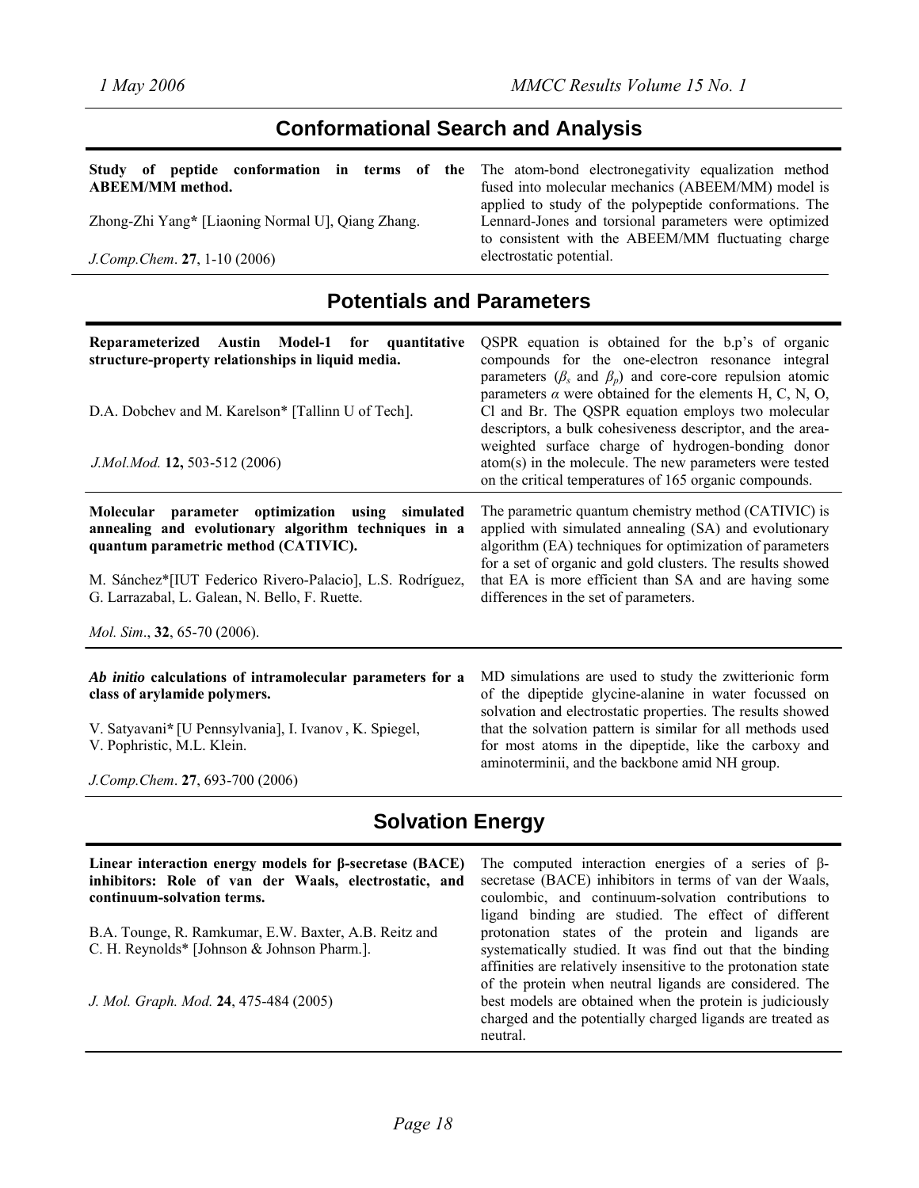# **Conformational Search and Analysis**

| Study of peptide conformation in terms of the The atom-bond electronegativity equalization method<br><b>ABEEM/MM</b> method. | fused into molecular mechanics (ABEEM/MM) model is                                                                                                                    |
|------------------------------------------------------------------------------------------------------------------------------|-----------------------------------------------------------------------------------------------------------------------------------------------------------------------|
| Zhong-Zhi Yang* [Liaoning Normal U], Qiang Zhang.                                                                            | applied to study of the polypeptide conformations. The<br>Lennard-Jones and torsional parameters were optimized<br>to consistent with the ABEEM/MM fluctuating charge |
| $J. Comp. Chem. 27, 1-10 (2006)$                                                                                             | electrostatic potential.                                                                                                                                              |

# **Potentials and Parameters**

| Reparameterized Austin Model-1 for quantitative<br>structure-property relationships in liquid media.<br>D.A. Dobchev and M. Karelson* [Tallinn U of Tech].<br>J.Mol.Mod. 12, 503-512 (2006)                                                                                                                | QSPR equation is obtained for the b.p's of organic<br>compounds for the one-electron resonance integral<br>parameters ( $\beta_s$ and $\beta_p$ ) and core-core repulsion atomic<br>parameters $\alpha$ were obtained for the elements H, C, N, O,<br>Cl and Br. The QSPR equation employs two molecular<br>descriptors, a bulk cohesiveness descriptor, and the area-<br>weighted surface charge of hydrogen-bonding donor<br>atom(s) in the molecule. The new parameters were tested<br>on the critical temperatures of 165 organic compounds. |
|------------------------------------------------------------------------------------------------------------------------------------------------------------------------------------------------------------------------------------------------------------------------------------------------------------|--------------------------------------------------------------------------------------------------------------------------------------------------------------------------------------------------------------------------------------------------------------------------------------------------------------------------------------------------------------------------------------------------------------------------------------------------------------------------------------------------------------------------------------------------|
| parameter optimization using simulated<br>Molecular<br>annealing and evolutionary algorithm techniques in a<br>quantum parametric method (CATIVIC).<br>M. Sánchez*[IUT Federico Rivero-Palacio], L.S. Rodríguez,<br>G. Larrazabal, L. Galean, N. Bello, F. Ruette.<br><i>Mol. Sim.</i> , 32, 65-70 (2006). | The parametric quantum chemistry method (CATIVIC) is<br>applied with simulated annealing (SA) and evolutionary<br>algorithm (EA) techniques for optimization of parameters<br>for a set of organic and gold clusters. The results showed<br>that EA is more efficient than SA and are having some<br>differences in the set of parameters.                                                                                                                                                                                                       |
| Ab initio calculations of intramolecular parameters for a<br>class of arylamide polymers.<br>V. Satyavani* [U Pennsylvania], I. Ivanov, K. Spiegel,                                                                                                                                                        | MD simulations are used to study the zwitterionic form<br>of the dipeptide glycine-alanine in water focussed on<br>solvation and electrostatic properties. The results showed<br>that the solvation pattern is similar for all methods used                                                                                                                                                                                                                                                                                                      |

V. Pophristic, M.L. Klein.

*J.Comp.Chem*. **27**, 693-700 (2006)

that the solvation pattern is similar for all methods used for most atoms in the dipeptide, like the carboxy and aminoterminii, and the backbone amid NH group.

# **Solvation Energy**

| Linear interaction energy models for $\beta$ -secretase (BACE)<br>inhibitors: Role of van der Waals, electrostatic, and<br>continuum-solvation terms. | The computed interaction energies of a series of $\beta$ -<br>secretase (BACE) inhibitors in terms of van der Waals,<br>coulombic, and continuum-solvation contributions to<br>ligand binding are studied. The effect of different |
|-------------------------------------------------------------------------------------------------------------------------------------------------------|------------------------------------------------------------------------------------------------------------------------------------------------------------------------------------------------------------------------------------|
| B.A. Tounge, R. Ramkumar, E.W. Baxter, A.B. Reitz and                                                                                                 | protonation states of the protein and ligands are                                                                                                                                                                                  |
| C. H. Reynolds* [Johnson & Johnson Pharm.].                                                                                                           | systematically studied. It was find out that the binding<br>affinities are relatively insensitive to the protonation state<br>of the protein when neutral ligands are considered. The                                              |
| J. Mol. Graph. Mod. 24, 475-484 (2005)                                                                                                                | best models are obtained when the protein is judiciously<br>charged and the potentially charged ligands are treated as<br>neutral.                                                                                                 |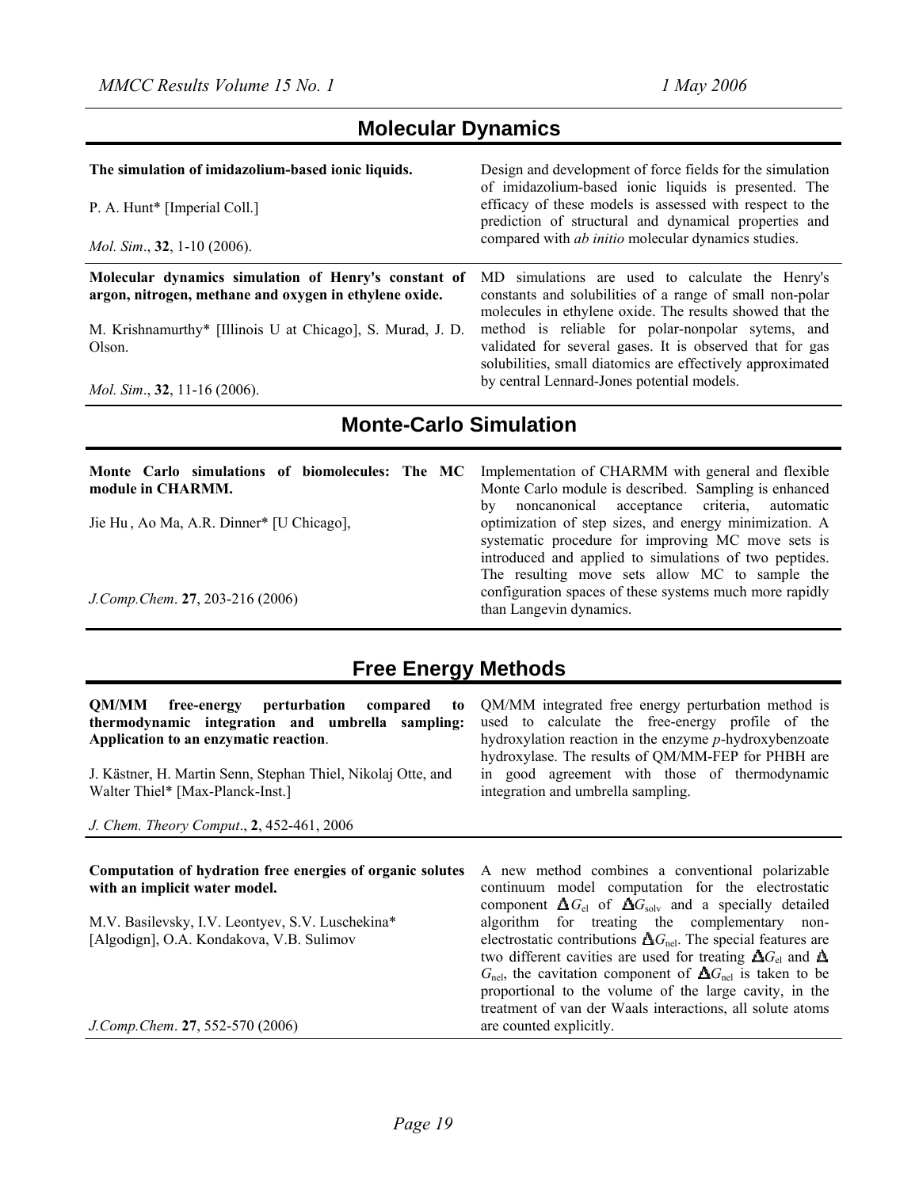## **Molecular Dynamics**

| The simulation of imidazolium-based ionic liquids.<br>P. A. Hunt* [Imperial Coll.]<br><i>Mol. Sim.</i> , $32$ , 1-10 (2006). | Design and development of force fields for the simulation<br>of imidazolium-based ionic liquids is presented. The<br>efficacy of these models is assessed with respect to the<br>prediction of structural and dynamical properties and<br>compared with <i>ab initio</i> molecular dynamics studies. |
|------------------------------------------------------------------------------------------------------------------------------|------------------------------------------------------------------------------------------------------------------------------------------------------------------------------------------------------------------------------------------------------------------------------------------------------|
| Molecular dynamics simulation of Henry's constant of<br>argon, nitrogen, methane and oxygen in ethylene oxide.               | simulations are used to calculate the Henry's<br>MD.<br>constants and solubilities of a range of small non-polar<br>molecules in ethylene oxide. The results showed that the                                                                                                                         |
| M. Krishnamurthy* [Illinois U at Chicago], S. Murad, J. D.<br>Olson.                                                         | method is reliable for polar-nonpolar sytems, and<br>validated for several gases. It is observed that for gas<br>solubilities, small diatomics are effectively approximated                                                                                                                          |
| <i>Mol. Sim.</i> , 32, 11-16 (2006).                                                                                         | by central Lennard-Jones potential models.                                                                                                                                                                                                                                                           |

# **Monte-Carlo Simulation**

| Monte Carlo simulations of biomolecules: The MC<br>module in CHARMM. | Implementation of CHARMM with general and flexible<br>Monte Carlo module is described. Sampling is enhanced<br>noncanonical acceptance criteria, automatic<br>by       |
|----------------------------------------------------------------------|------------------------------------------------------------------------------------------------------------------------------------------------------------------------|
| Jie Hu, Ao Ma, A.R. Dinner* [U Chicago],                             | optimization of step sizes, and energy minimization. A<br>systematic procedure for improving MC move sets is<br>introduced and applied to simulations of two peptides. |
| J.Comp.Chem. 27, 203-216 (2006)                                      | The resulting move sets allow MC to sample the<br>configuration spaces of these systems much more rapidly<br>than Langevin dynamics.                                   |

# **Free Energy Methods**

**QM/MM free-energy perturbation compared to thermodynamic integration and umbrella sampling: Application to an enzymatic reaction**.

J. Kästner, H. Martin Senn, Stephan Thiel, Nikolaj Otte, and Walter Thiel\* [Max-Planck-Inst.]

*J. Chem. Theory Comput*., **2**, 452-461, 2006

QM/MM integrated free energy perturbation method is used to calculate the free-energy profile of the hydroxylation reaction in the enzyme *p*-hydroxybenzoate hydroxylase. The results of QM/MM-FEP for PHBH are in good agreement with those of thermodynamic integration and umbrella sampling.

| Computation of hydration free energies of organic solutes<br>with an implicit water model.   | A new method combines a conventional polarizable<br>continuum model computation for the electrostatic<br>component $\Delta G_{\text{el}}$ of $\Delta G_{\text{solv}}$ and a specially detailed                                                                                                                                                                                                                                   |
|----------------------------------------------------------------------------------------------|----------------------------------------------------------------------------------------------------------------------------------------------------------------------------------------------------------------------------------------------------------------------------------------------------------------------------------------------------------------------------------------------------------------------------------|
| M.V. Basilevsky, I.V. Leontyev, S.V. Luschekina*<br>[Algodign], O.A. Kondakova, V.B. Sulimov | algorithm for treating the complementary non-<br>electrostatic contributions $\Delta G_{\text{nel}}$ . The special features are<br>two different cavities are used for treating $\Delta G_{\rm el}$ and $\Delta$<br>$G_{\text{nel}}$ , the cavitation component of $\Delta G_{\text{nel}}$ is taken to be<br>proportional to the volume of the large cavity, in the<br>treatment of van der Waals interactions, all solute atoms |
| J.Comp.Chem. 27, 552-570 (2006)                                                              | are counted explicitly.                                                                                                                                                                                                                                                                                                                                                                                                          |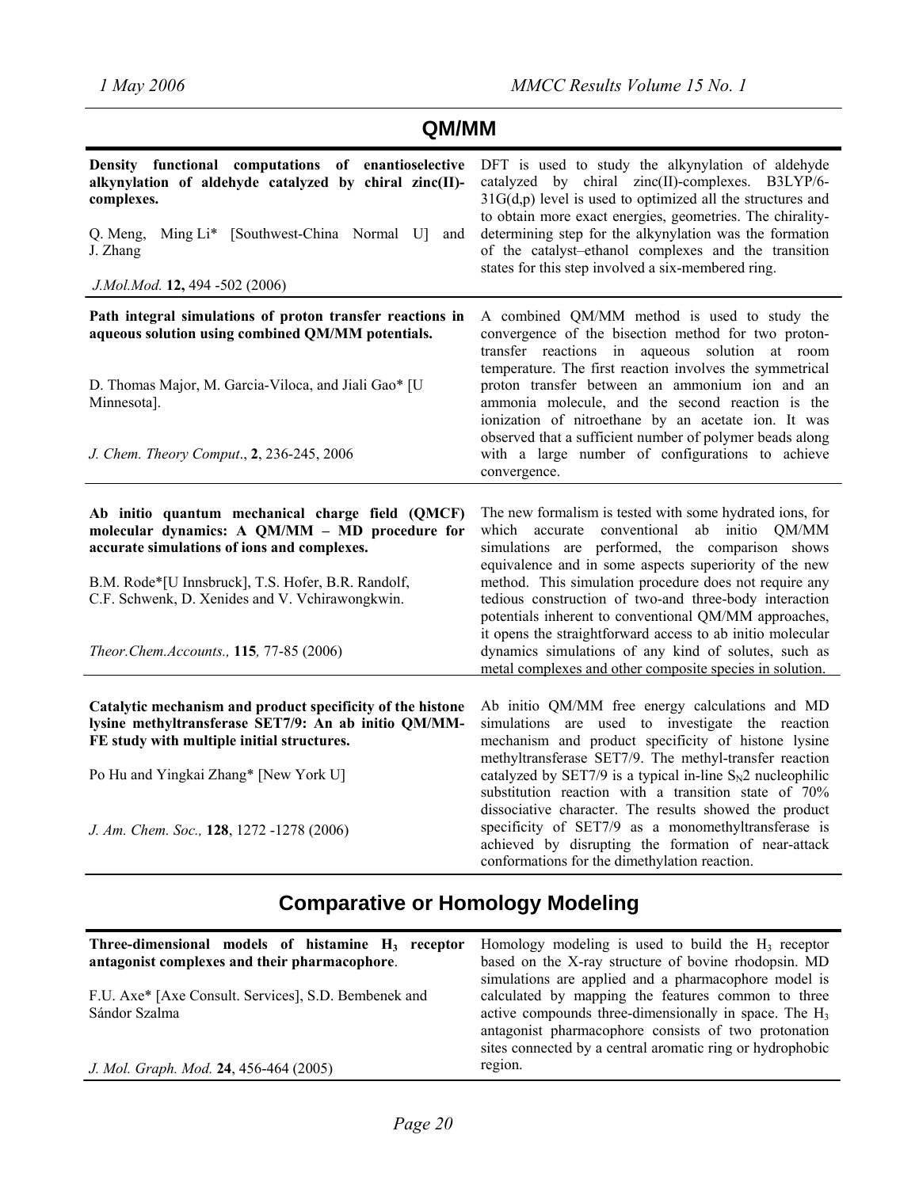| QM/MM                                                                                                                                                                                                                                                                                                 |                                                                                                                                                                                                                                                                                                                                                                                                                                                                                                                                                                                        |  |
|-------------------------------------------------------------------------------------------------------------------------------------------------------------------------------------------------------------------------------------------------------------------------------------------------------|----------------------------------------------------------------------------------------------------------------------------------------------------------------------------------------------------------------------------------------------------------------------------------------------------------------------------------------------------------------------------------------------------------------------------------------------------------------------------------------------------------------------------------------------------------------------------------------|--|
| Density functional computations of enantioselective<br>alkynylation of aldehyde catalyzed by chiral zinc(II)-<br>complexes.<br>Q. Meng,<br>Ming Li* [Southwest-China Normal U]<br>and<br>J. Zhang<br>J.Mol.Mod. 12, 494 -502 (2006)                                                                   | DFT is used to study the alkynylation of aldehyde<br>catalyzed by chiral zinc(II)-complexes. B3LYP/6-<br>$31G(d,p)$ level is used to optimized all the structures and<br>to obtain more exact energies, geometries. The chirality-<br>determining step for the alkynylation was the formation<br>of the catalyst-ethanol complexes and the transition<br>states for this step involved a six-membered ring.                                                                                                                                                                            |  |
| Path integral simulations of proton transfer reactions in<br>aqueous solution using combined QM/MM potentials.<br>D. Thomas Major, M. Garcia-Viloca, and Jiali Gao* [U<br>Minnesota].<br>J. Chem. Theory Comput., 2, 236-245, 2006                                                                    | A combined QM/MM method is used to study the<br>convergence of the bisection method for two proton-<br>transfer reactions in aqueous solution at room<br>temperature. The first reaction involves the symmetrical<br>proton transfer between an ammonium ion and an<br>ammonia molecule, and the second reaction is the<br>ionization of nitroethane by an acetate ion. It was<br>observed that a sufficient number of polymer beads along<br>with a large number of configurations to achieve<br>convergence.                                                                         |  |
| Ab initio quantum mechanical charge field (QMCF)<br>molecular dynamics: A QM/MM - MD procedure for<br>accurate simulations of ions and complexes.<br>B.M. Rode*[U Innsbruck], T.S. Hofer, B.R. Randolf,<br>C.F. Schwenk, D. Xenides and V. Vchirawongkwin.<br>Theor.Chem.Accounts., 115, 77-85 (2006) | The new formalism is tested with some hydrated ions, for<br>conventional ab initio QM/MM<br>which accurate<br>simulations are performed, the comparison shows<br>equivalence and in some aspects superiority of the new<br>method. This simulation procedure does not require any<br>tedious construction of two-and three-body interaction<br>potentials inherent to conventional QM/MM approaches,<br>it opens the straightforward access to ab initio molecular<br>dynamics simulations of any kind of solutes, such as<br>metal complexes and other composite species in solution. |  |
| Catalytic mechanism and product specificity of the histone<br>lysine methyltransferase SET7/9: An ab initio QM/MM-<br>FE study with multiple initial structures.<br>Po Hu and Yingkai Zhang* [New York U]                                                                                             | Ab initio QM/MM free energy calculations and MD<br>simulations are used to investigate the reaction<br>mechanism and product specificity of histone lysine<br>methyltransferase SET7/9. The methyl-transfer reaction<br>catalyzed by SET7/9 is a typical in-line $S_N2$ nucleophilic<br>substitution reaction with a transition state of 70%<br>dissociative character. The results showed the product                                                                                                                                                                                 |  |
| J. Am. Chem. Soc., 128, 1272 -1278 (2006)                                                                                                                                                                                                                                                             | specificity of SET7/9 as a monomethyltransferase is<br>achieved by disrupting the formation of near-attack<br>conformations for the dimethylation reaction.                                                                                                                                                                                                                                                                                                                                                                                                                            |  |

# **Comparative or Homology Modeling**

| Three-dimensional models of histamine $H_3$ receptor<br>antagonist complexes and their pharmacophore. | Homology modeling is used to build the $H_3$ receptor<br>based on the X-ray structure of bovine rhodopsin. MD                                                                   |
|-------------------------------------------------------------------------------------------------------|---------------------------------------------------------------------------------------------------------------------------------------------------------------------------------|
| F.U. Axe* [Axe Consult. Services], S.D. Bembenek and<br>Sándor Szalma                                 | simulations are applied and a pharmacophore model is<br>calculated by mapping the features common to three<br>active compounds three-dimensionally in space. The H <sub>3</sub> |
|                                                                                                       | antagonist pharmacophore consists of two protonation<br>sites connected by a central aromatic ring or hydrophobic                                                               |
| J. Mol. Graph. Mod. 24, 456-464 (2005)                                                                | region.                                                                                                                                                                         |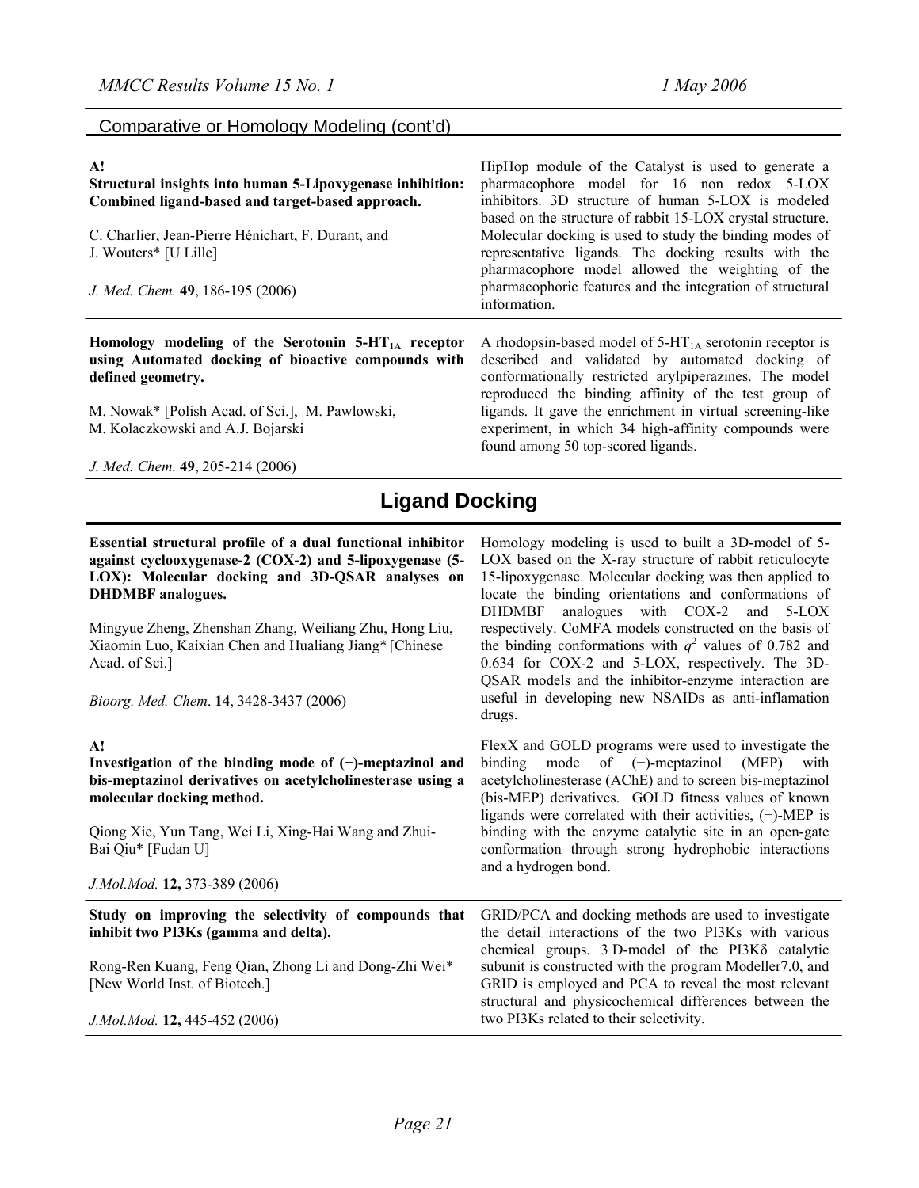#### Comparative or Homology Modeling (cont'd)

#### **A!**

**Structural insights into human 5-Lipoxygenase inhibition: Combined ligand-based and target-based approach.**  C. Charlier, Jean-Pierre Hénichart, F. Durant, and J. Wouters\* [U Lille] *J. Med. Chem.* **49**, 186-195 (2006) HipHop module of the Catalyst is used to generate a pharmacophore model for 16 non redox 5-LOX inhibitors. 3D structure of human 5-LOX is modeled based on the structure of rabbit 15-LOX crystal structure. Molecular docking is used to study the binding modes of representative ligands. The docking results with the pharmacophore model allowed the weighting of the pharmacophoric features and the integration of structural information.

Homology modeling of the Serotonin 5-HT<sub>1A</sub> receptor **using Automated docking of bioactive compounds with defined geometry.** 

M. Nowak\* [Polish Acad. of Sci.], M. Pawlowski, M. Kolaczkowski and A.J. Bojarski

*J. Med. Chem.* **49**, 205-214 (2006)

A rhodopsin-based model of  $5-HT<sub>1A</sub>$  serotonin receptor is described and validated by automated docking of conformationally restricted arylpiperazines. The model reproduced the binding affinity of the test group of ligands. It gave the enrichment in virtual screening-like experiment, in which 34 high-affinity compounds were found among 50 top-scored ligands.

Homology modeling is used to built a 3D-model of 5- LOX based on the X-ray structure of rabbit reticulocyte 15-lipoxygenase. Molecular docking was then applied to locate the binding orientations and conformations of DHDMBF analogues with COX-2 and 5-LOX respectively. CoMFA models constructed on the basis of the binding conformations with  $q^2$  values of 0.782 and 0.634 for COX-2 and 5-LOX, respectively. The 3D-QSAR models and the inhibitor-enzyme interaction are useful in developing new NSAIDs as anti-inflamation

FlexX and GOLD programs were used to investigate the binding mode of (−)-meptazinol (MEP) with acetylcholinesterase (AChE) and to screen bis-meptazinol (bis-MEP) derivatives. GOLD fitness values of known ligands were correlated with their activities, (−)-MEP is binding with the enzyme catalytic site in an open-gate conformation through strong hydrophobic interactions

GRID/PCA and docking methods are used to investigate the detail interactions of the two PI3Ks with various chemical groups. 3 D-model of the PI3Kδ catalytic subunit is constructed with the program Modeller7.0, and GRID is employed and PCA to reveal the most relevant structural and physicochemical differences between the

# **Ligand Docking**

drugs.

and a hydrogen bond.

two PI3Ks related to their selectivity.

#### **Essential structural profile of a dual functional inhibitor against cyclooxygenase-2 (COX-2) and 5-lipoxygenase (5- LOX): Molecular docking and 3D-QSAR analyses on DHDMBF analogues.**

Mingyue Zheng, Zhenshan Zhang, Weiliang Zhu, Hong Liu, Xiaomin Luo, Kaixian Chen and Hualiang Jiang\* [Chinese Acad. of Sci.]

*Bioorg. Med. Chem*. **14**, 3428-3437 (2006)

#### **A!**

**Investigation of the binding mode of (−)-meptazinol and bis-meptazinol derivatives on acetylcholinesterase using a molecular docking method.** 

Qiong Xie, Yun Tang, Wei Li, Xing-Hai Wang and Zhui-Bai Qiu\* [Fudan U]

*J.Mol.Mod.* **12,** 373-389 (2006)

**Study on improving the selectivity of compounds that inhibit two PI3Ks (gamma and delta).** 

Rong-Ren Kuang, Feng Qian, Zhong Li and Dong-Zhi Wei\* [New World Inst. of Biotech.]

*J.Mol.Mod.* **12,** 445-452 (2006)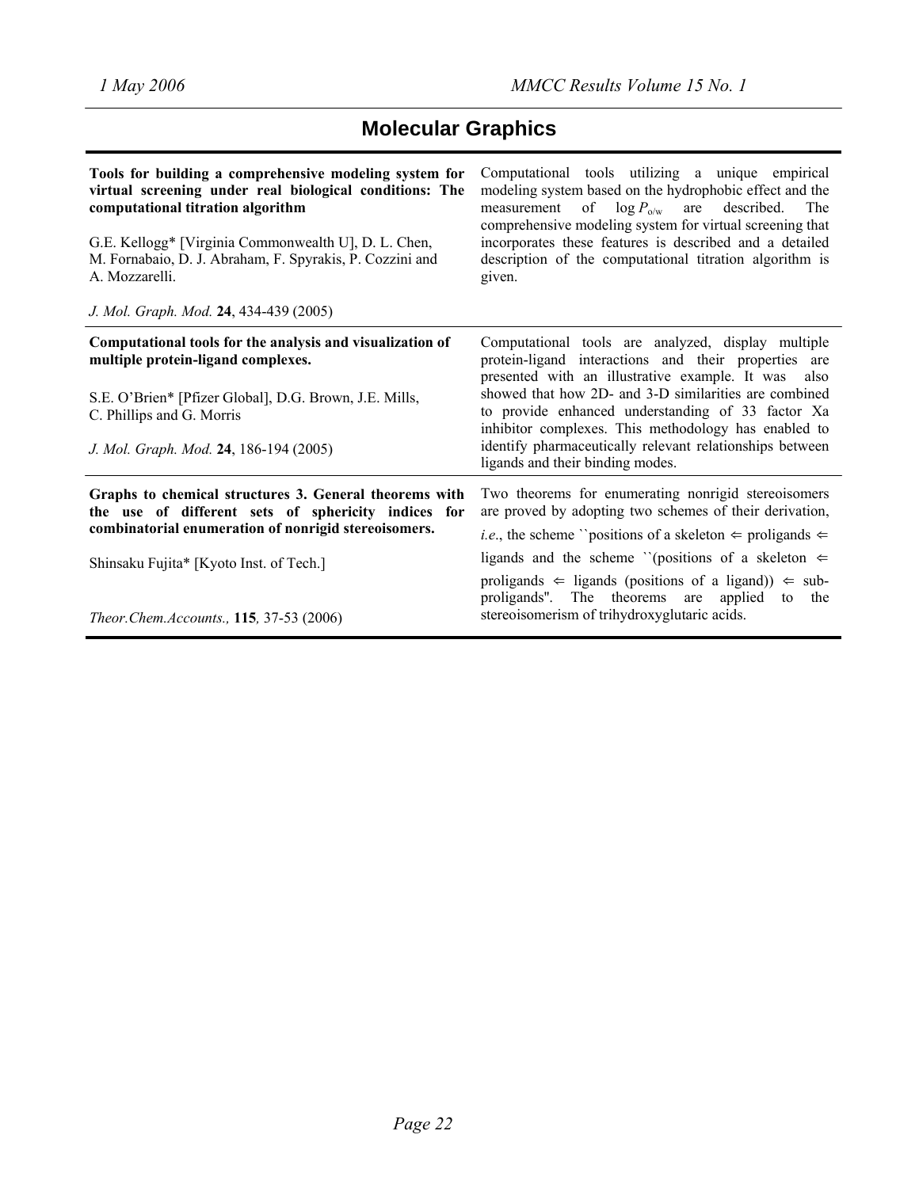# **Molecular Graphics**

| Tools for building a comprehensive modeling system for<br>virtual screening under real biological conditions: The<br>computational titration algorithm<br>G.E. Kellogg* [Virginia Commonwealth U], D. L. Chen,<br>M. Fornabaio, D. J. Abraham, F. Spyrakis, P. Cozzini and<br>A. Mozzarelli.<br>J. Mol. Graph. Mod. 24, 434-439 (2005) | Computational tools utilizing a unique empirical<br>modeling system based on the hydrophobic effect and the<br>measurement of $\log P_{\text{o/w}}$ are described.<br>The<br>comprehensive modeling system for virtual screening that<br>incorporates these features is described and a detailed<br>description of the computational titration algorithm is<br>given. |
|----------------------------------------------------------------------------------------------------------------------------------------------------------------------------------------------------------------------------------------------------------------------------------------------------------------------------------------|-----------------------------------------------------------------------------------------------------------------------------------------------------------------------------------------------------------------------------------------------------------------------------------------------------------------------------------------------------------------------|
| Computational tools for the analysis and visualization of<br>multiple protein-ligand complexes.<br>S.E. O'Brien* [Pfizer Global], D.G. Brown, J.E. Mills,<br>C. Phillips and G. Morris                                                                                                                                                 | Computational tools are analyzed, display multiple<br>protein-ligand interactions and their properties are<br>presented with an illustrative example. It was<br>also<br>showed that how 2D- and 3-D similarities are combined<br>to provide enhanced understanding of 33 factor Xa                                                                                    |
| J. Mol. Graph. Mod. 24, 186-194 (2005)                                                                                                                                                                                                                                                                                                 | inhibitor complexes. This methodology has enabled to<br>identify pharmaceutically relevant relationships between<br>ligands and their binding modes.                                                                                                                                                                                                                  |
| Graphs to chemical structures 3. General theorems with<br>the use of different sets of sphericity indices for<br>combinatorial enumeration of nonrigid stereoisomers.                                                                                                                                                                  | Two theorems for enumerating nonrigid stereoisomers<br>are proved by adopting two schemes of their derivation,<br><i>i.e.</i> , the scheme "positions of a skeleton $\Leftarrow$ proligands $\Leftarrow$                                                                                                                                                              |
| Shinsaku Fujita* [Kyoto Inst. of Tech.]                                                                                                                                                                                                                                                                                                | ligands and the scheme "(positions of a skeleton $\Leftarrow$                                                                                                                                                                                                                                                                                                         |
| Theor.Chem.Accounts., 115, 37-53 (2006)                                                                                                                                                                                                                                                                                                | proligands $\Leftarrow$ ligands (positions of a ligand)) $\Leftarrow$ sub-<br>proligands". The theorems are applied to the<br>stereoisomerism of trihydroxyglutaric acids.                                                                                                                                                                                            |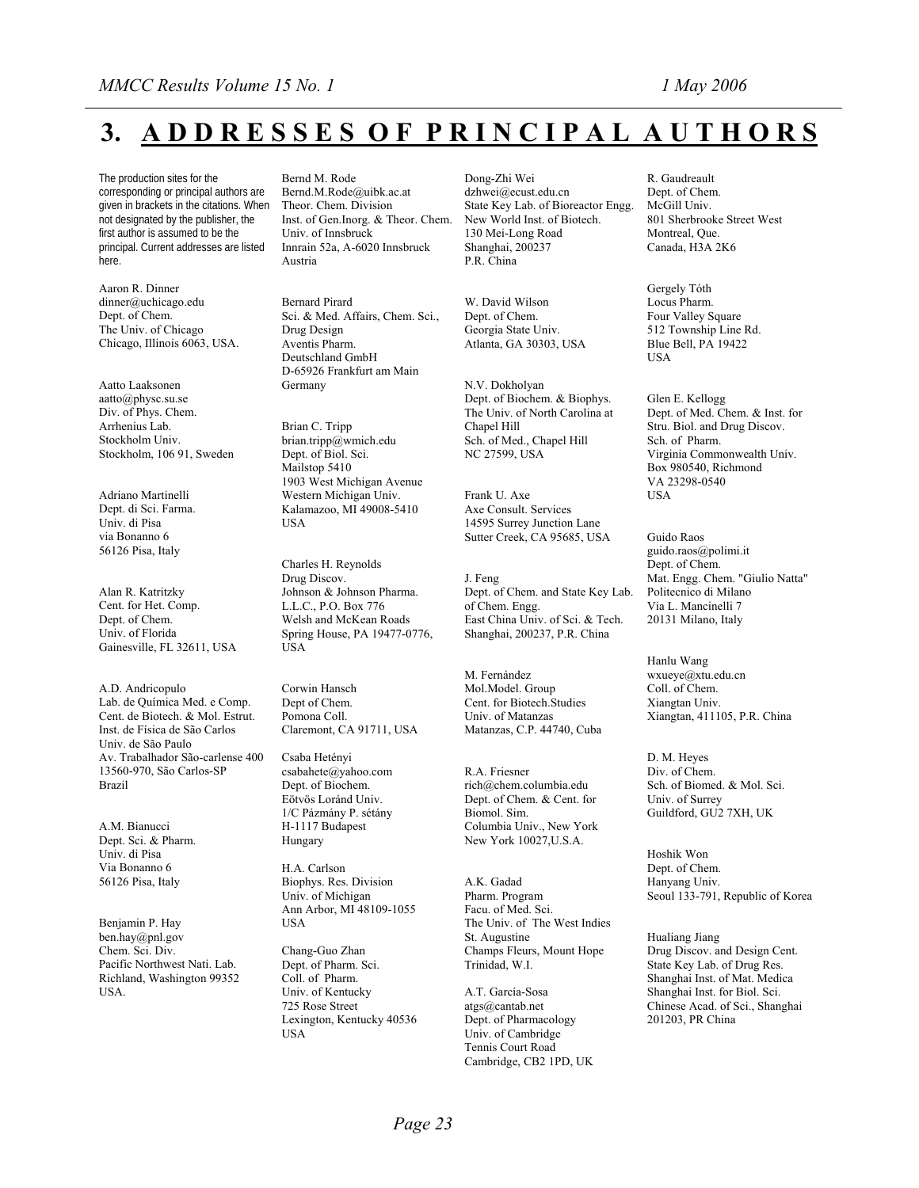# **3. A D D R E S S E S O F P R I N C I P A L A U T H O R S**

The production sites for the corresponding or principal authors are given in brackets in the citations. When not designated by the publisher, the first author is assumed to be the principal. Current addresses are listed here.

Aaron R. Dinner [dinner@uchicago.edu](mailto:dinner@uchicago.edu) Dept. of Chem. The Univ. of Chicago Chicago, Illinois 6063, USA.

Aatto Laaksonen [aatto@physc.su.se](mailto:aatto@physc.su.se) Div. of Phys. Chem. Arrhenius Lab. Stockholm Univ. Stockholm, 106 91, Sweden

Adriano Martinelli Dept. di Sci. Farma. Univ. di Pisa via Bonanno 6 56126 Pisa, Italy

Alan R. Katritzky Cent. for Het. Comp. Dept. of Chem. Univ. of Florida Gainesville, FL 32611, USA

A.D. Andricopulo Lab. de Química Med. e Comp. Cent. de Biotech. & Mol. Estrut. Inst. de Física de São Carlos Univ. de São Paulo Av. Trabalhador São-carlense 400 13560-970, São Carlos-SP Brazil

A.M. Bianucci Dept. Sci. & Pharm. Univ. di Pisa Via Bonanno 6 56126 Pisa, Italy

Benjamin P. Hay ben.hay@pnl.gov Chem. Sci. Div. Pacific Northwest Nati. Lab. Richland, Washington 99352 USA.

Bernd M. Rode

[Bernd.M.Rode@uibk.ac.at](mailto:Bernd.M.Rode@uibk.ac.at) Theor. Chem. Division Inst. of Gen.Inorg. & Theor. Chem. Univ. of Innsbruck Innrain 52a, A-6020 Innsbruck Austria

Bernard Pirard Sci. & Med. Affairs, Chem. Sci., Drug Design Aventis Pharm. Deutschland GmbH D-65926 Frankfurt am Main Germany

Brian C. Tripp [brian.tripp@wmich.edu](mailto:brian.tripp@wmich.edu) Dept. of Biol. Sci. Mailstop 5410 1903 West Michigan Avenue Western Michigan Univ. Kalamazoo, MI 49008-5410 USA

Charles H. Reynolds Drug Discov. Johnson & Johnson Pharma. L.L.C., P.O. Box 776 Welsh and McKean Roads Spring House, PA 19477-0776, **USA** 

Corwin Hansch Dept of Chem. Pomona Coll. Claremont, CA 91711, USA

Csaba Hetényi csabahete@yahoo.com Dept. of Biochem. Eötvös Loránd Univ. 1/C Pázmány P. sétány H-1117 Budapest Hungary

H.A. Carlson Biophys. Res. Division Univ. of Michigan Ann Arbor, MI 48109-1055 **IISA** 

Chang-Guo Zhan Dept. of Pharm. Sci. Coll. of Pharm. Univ. of Kentucky 725 Rose Street Lexington, Kentucky 40536 USA

Dong-Zhi Wei [dzhwei@ecust.edu.cn](mailto:dzhwei@ecust.edu.cn)  State Key Lab. of Bioreactor Engg. New World Inst. of Biotech. 130 Mei-Long Road Shanghai, 200237 P.R. China

W. David Wilson Dept. of Chem. Georgia State Univ. Atlanta, GA 30303, USA

N.V. Dokholyan Dept. of Biochem. & Biophys. The Univ. of North Carolina at Chapel Hill Sch. of Med., Chapel Hill NC 27599, USA

Frank U. Axe Axe Consult. Services 14595 Surrey Junction Lane Sutter Creek, CA 95685, USA

J. Feng Dept. of Chem. and State Key Lab. of Chem. Engg. East China Univ. of Sci. & Tech. Shanghai, 200237, P.R. China

M. Fernández Mol.Model. Group Cent. for Biotech.Studies Univ. of Matanzas Matanzas, C.P. 44740, Cuba

R.A. Friesner [rich@chem.columbia.edu](mailto:rich@chem.columbia.edu) Dept. of Chem. & Cent. for Biomol. Sim. Columbia Univ., New York New York 10027,U.S.A.

A.K. Gadad Pharm. Program Facu. of Med. Sci. The Univ. of The West Indies St. Augustine Champs Fleurs, Mount Hope Trinidad, W.I.

A.T. García-Sosa [atgs@cantab.net](mailto:atgs@cantab.net) Dept. of Pharmacology Univ. of Cambridge Tennis Court Road Cambridge, CB2 1PD, UK R. Gaudreault Dept. of Chem. McGill Univ. 801 Sherbrooke Street West Montreal, Que. Canada, H3A 2K6

Gergely Tóth Locus Pharm. Four Valley Square 512 Township Line Rd. Blue Bell, PA 19422 **IISA** 

Glen E. Kellogg Dept. of Med. Chem. & Inst. for Stru. Biol. and Drug Discov. Sch. of Pharm. Virginia Commonwealth Univ. Box 980540, Richmond VA 23298-0540 **USA** 

Guido Raos guido.raos@polimi.it Dept. of Chem. Mat. Engg. Chem. "Giulio Natta" Politecnico di Milano Via L. Mancinelli 7 20131 Milano, Italy

Hanlu Wang [wxueye@xtu.edu.cn](mailto:wxueye@xtu.edu.cn) Coll. of Chem. Xiangtan Univ. Xiangtan, 411105, P.R. China

D. M. Heyes Div. of Chem. Sch. of Biomed. & Mol. Sci. Univ. of Surrey Guildford, GU2 7XH, UK

Hoshik Won Dept. of Chem. Hanyang Univ. Seoul 133-791, Republic of Korea

Hualiang Jiang Drug Discov. and Design Cent. State Key Lab. of Drug Res. Shanghai Inst. of Mat. Medica Shanghai Inst. for Biol. Sci. Chinese Acad. of Sci., Shanghai 201203, PR China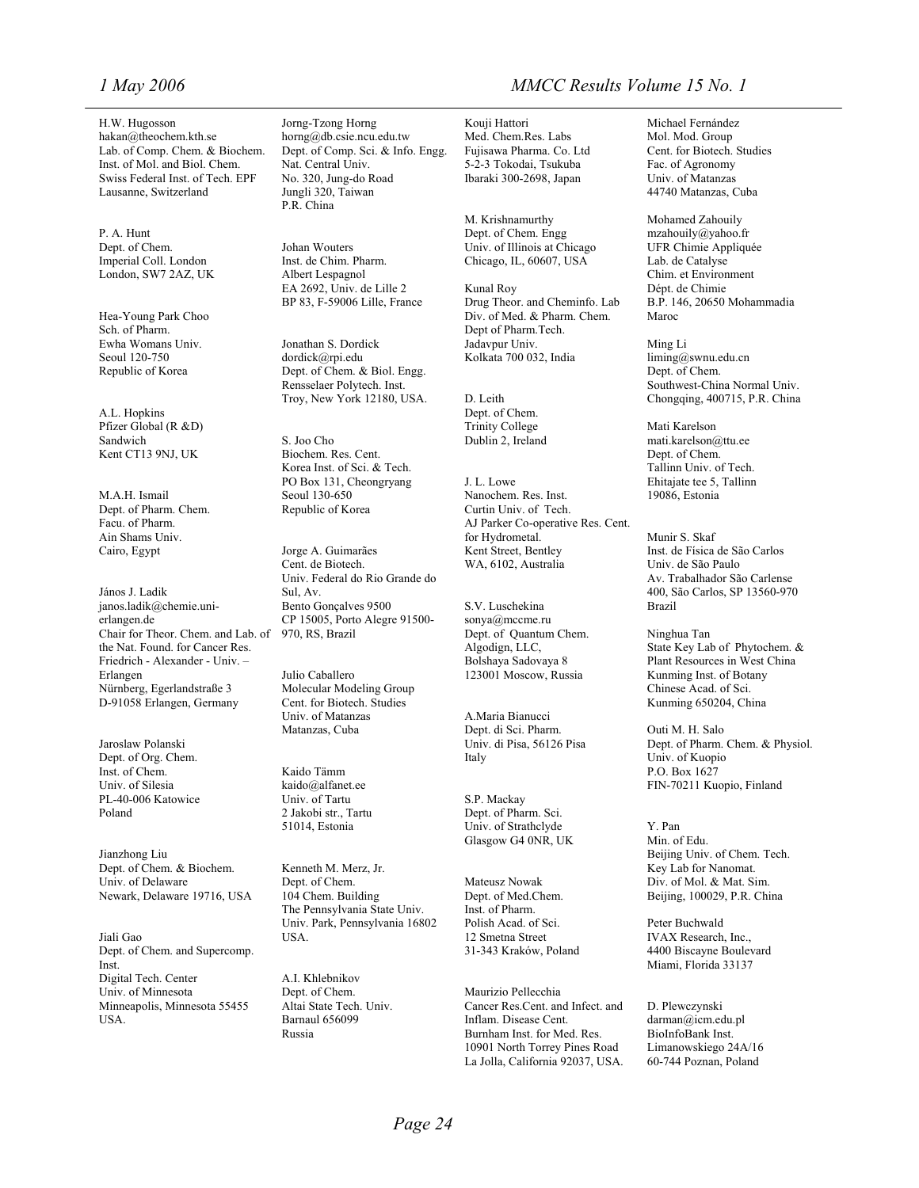H.W. Hugosson [hakan@theochem.kth.se](mailto:hakan@theochem.kth.se) Lab. of Comp. Chem. & Biochem. Inst. of Mol. and Biol. Chem. Swiss Federal Inst. of Tech. EPF Lausanne, Switzerland

P. A. Hunt Dept. of Chem. Imperial Coll. London London, SW7 2AZ, UK

Hea-Young Park Choo Sch. of Pharm. Ewha Womans Univ. Seoul 120-750 Republic of Korea

A.L. Hopkins Pfizer Global (R &D) Sandwich Kent CT13 9NJ, UK

M.A.H. Ismail Dept. of Pharm. Chem. Facu. of Pharm. Ain Shams Univ. Cairo, Egypt

János J. Ladik [janos.ladik@chemie.uni](mailto:janos.ladik@chemie.uni-erlangen.de)[erlangen.de](mailto:janos.ladik@chemie.uni-erlangen.de) Chair for Theor. Chem. and Lab. of the Nat. Found. for Cancer Res. Friedrich - Alexander - Univ. – Erlangen Nürnberg, Egerlandstraße 3 D-91058 Erlangen, Germany

Jaroslaw Polanski Dept. of Org. Chem. Inst. of Chem. Univ. of Silesia PL-40-006 Katowice Poland

Jianzhong Liu Dept. of Chem. & Biochem. Univ. of Delaware Newark, Delaware 19716, USA

Jiali Gao Dept. of Chem. and Supercomp. Inst. Digital Tech. Center Univ. of Minnesota Minneapolis, Minnesota 55455 USA.

Jorng-Tzong Horng [horng@db.csie.ncu.edu.tw](mailto:horng@db.csie.ncu.edu.tw) Dept. of Comp. Sci. & Info. Engg. Nat. Central Univ. No. 320, Jung-do Road Jungli 320, Taiwan P.R. China

Johan Wouters Inst. de Chim. Pharm. Albert Lespagnol EA 2692, Univ. de Lille 2 BP 83, F-59006 Lille, France

Jonathan S. Dordick dordick@rpi.edu Dept. of Chem. & Biol. Engg. Rensselaer Polytech. Inst. Troy, New York 12180, USA.

S. Joo Cho Biochem. Res. Cent. Korea Inst. of Sci. & Tech. PO Box 131, Cheongryang Seoul 130-650 Republic of Korea

Jorge A. Guimarães Cent. de Biotech. Univ. Federal do Rio Grande do Sul, Av. Bento Gonçalves 9500 CP 15005, Porto Alegre 91500- 970, RS, Brazil

Julio Caballero Molecular Modeling Group Cent. for Biotech. Studies Univ. of Matanzas Matanzas, Cuba

Kaido Tämm [kaido@alfanet.ee](mailto:kaido@alfanet.ee) Univ. of Tartu 2 Jakobi str., Tartu 51014, Estonia

Kenneth M. Merz, Jr. Dept. of Chem. 104 Chem. Building The Pennsylvania State Univ. Univ. Park, Pennsylvania 16802 USA.

A.I. Khlebnikov Dept. of Chem. Altai State Tech. Univ. Barnaul 656099 Russia

#### *1 May 2006 MMCC Results Volume 15 No. 1*

Kouji Hattori Med. Chem.Res. Labs Fujisawa Pharma. Co. Ltd 5-2-3 Tokodai, Tsukuba Ibaraki 300-2698, Japan

M. Krishnamurthy Dept. of Chem. Engg Univ. of Illinois at Chicago Chicago, IL, 60607, USA

Kunal Roy Drug Theor. and Cheminfo. Lab Div. of Med. & Pharm. Chem. Dept of Pharm.Tech. Jadavpur Univ. Kolkata 700 032, India

D. Leith Dept. of Chem. Trinity College Dublin 2, Ireland

J. L. Lowe Nanochem. Res. Inst. Curtin Univ. of Tech. AJ Parker Co-operative Res. Cent. for Hydrometal. Kent Street, Bentley WA, 6102, Australia

S.V. Luschekina [sonya@mccme.ru](mailto:sonya@mccme.ru) Dept. of Quantum Chem. Algodign, LLC, Bolshaya Sadovaya 8 123001 Moscow, Russia

A.Maria Bianucci Dept. di Sci. Pharm. Univ. di Pisa, 56126 Pisa Italy

S.P. Mackay Dept. of Pharm. Sci. Univ. of Strathclyde Glasgow G4 0NR, UK

Mateusz Nowak Dept. of Med.Chem. Inst. of Pharm. Polish Acad. of Sci. 12 Smetna Street 31-343 Kraków, Poland

Maurizio Pellecchia Cancer Res.Cent. and Infect. and Inflam. Disease Cent. Burnham Inst. for Med. Res. 10901 North Torrey Pines Road La Jolla, California 92037, USA.

Michael Fernández Mol. Mod. Group Cent. for Biotech. Studies Fac. of Agronomy Univ. of Matanzas 44740 Matanzas, Cuba

Mohamed Zahouily [mzahouily@yahoo.fr](mailto:mzahouily@yahoo.fr) UFR Chimie Appliquée Lab. de Catalyse Chim. et Environment Dépt. de Chimie B.P. 146, 20650 Mohammadia Maroc

Ming Li [liming@swnu.edu.cn](mailto:liming@swnu.edu.cn) Dept. of Chem. Southwest-China Normal Univ. Chongqing, 400715, P.R. China

Mati Karelson [mati.karelson@ttu.ee](mailto:mati.karelson@ttu.ee) Dept. of Chem. Tallinn Univ. of Tech. Ehitajate tee 5, Tallinn 19086, Estonia

Munir S. Skaf Inst. de Física de São Carlos Univ. de São Paulo Av. Trabalhador São Carlense 400, São Carlos, SP 13560-970 Brazil

Ninghua Tan State Key Lab of Phytochem. & Plant Resources in West China Kunming Inst. of Botany Chinese Acad. of Sci. Kunming 650204, China

Outi M. H. Salo Dept. of Pharm. Chem. & Physiol. Univ. of Kuopio P.O. Box 1627 FIN-70211 Kuopio, Finland

Y. Pan Min. of Edu. Beijing Univ. of Chem. Tech. Key Lab for Nanomat. Div. of Mol. & Mat. Sim. Beijing, 100029, P.R. China

Peter Buchwald IVAX Research, Inc., 4400 Biscayne Boulevard Miami, Florida 33137

D. Plewczynski [darman@icm.edu.pl](mailto:darman@icm.edu.pl) BioInfoBank Inst. Limanowskiego 24A/16 60-744 Poznan, Poland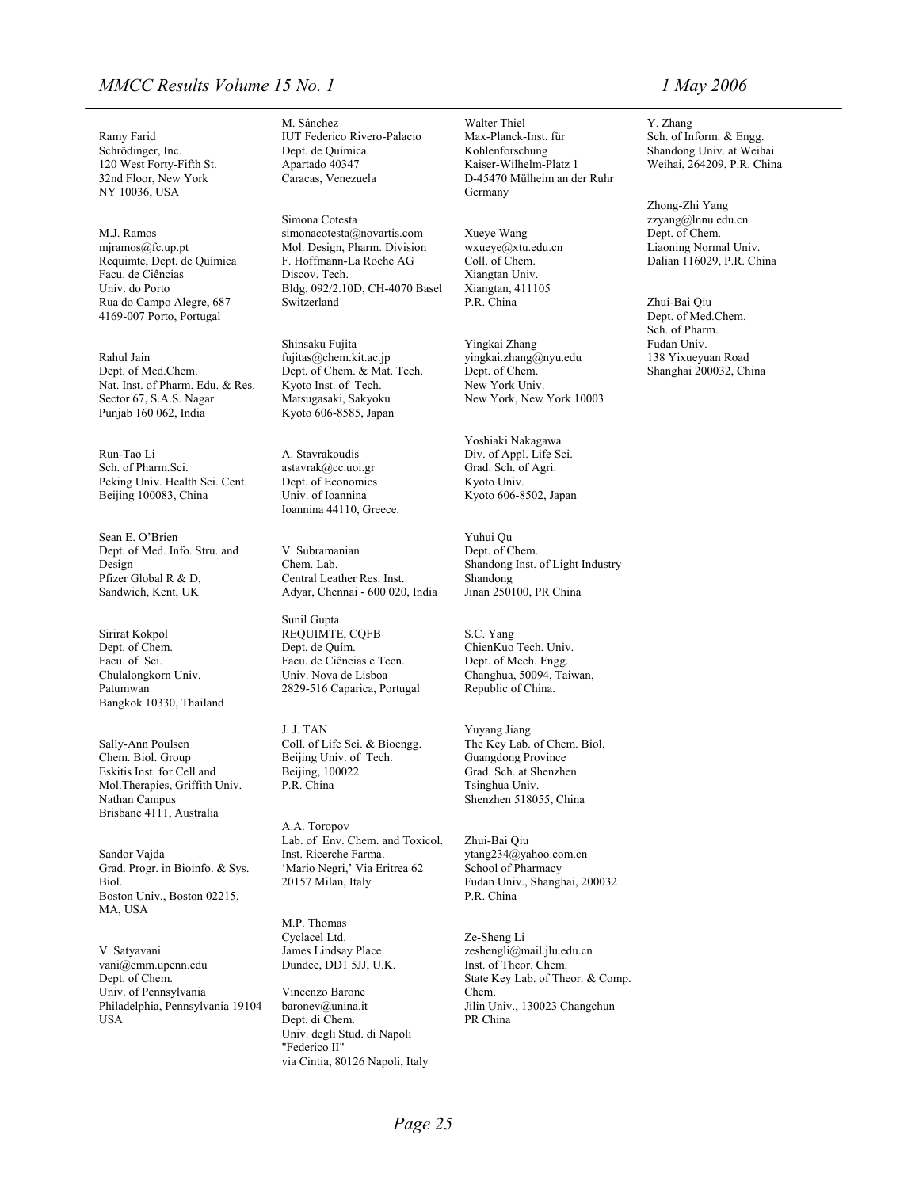#### *MMCC Results Volume 15 No. 1 1 May 2006*

Ramy Farid Schrödinger, Inc. NY 10036, USA Germany

4169-007 Porto, Portugal Dept. of Med.Chem.

Rahul Jain [fujitas@chem.kit.ac.jp](mailto:fujitas@chem.kit.ac.jp) Dept. of Med.Chem. Nat. Inst. of Pharm. Edu. & Res. Kyoto Inst. of Tech. New York Univ. Sector 67, S.A.S. Nagar Matsugasaki, Sakyoku New York, New York 10003<br>Punjab 160 062, India Kyoto 606-8585, Japan

Run-Tao Li and Li A. Stavrakoudis Div. of Appl. Life Sci.<br>
Sch. of Pharm. Sci. astavrak@cc.uoi.gr Grad. Sch. of Agri. Peking Univ. Health Sci. Cent. Dept. of Economics Kyoto Univ. Beijing 100083, China Univ. of Ioannina

Sean E. O'Brien Yuhui Qu Dept. of Med. Info. Stru. and V. Subramanian Design

Sirirat Kokpol REQUIMTE, CQFB Dept. of Chem.<br>Facu. of Sci. Patumwan 2829-516 Caparica, Portugal Republic of China. Bangkok 10330, Thailand

Chem. Biol. Group Eskitis Inst. for Cell and Beijing, 100022 Mol.Therapies, Griffith Univ. Nathan Campus Shenzhen 518055, China Brisbane 4111, Australia

Grad. Progr. in Bioinfo. & Sys. Boston Univ., Boston 02215, P.R. China MA, USA

V. Satyavani James Lindsay Place [zeshengli@mail.jlu.edu.cn](mailto:zeshengli@mail.jlu.edu.cn) [vani@cmm.upenn.edu](mailto:vani@cmm.upenn.edu) Dundee, DD1 5JJ, U.K. Inst. of Theor. Chem. Dept. of Chem. State Key Lab. of Theor. & Comp. Univ. of Pennsylvania Vincenzo Barone Chem. Philadelphia, Pennsylvania 19104 baronev@unina.it Jilin Univ., 130023 Changchun USA Dept. di Chem. PR China

Simona Cotesta [zzyang@lnnu.edu.cn](mailto:zzyang@lnnu.edu.cn) M.J. Ramos [simonacotesta@novartis.com](mailto:simonacotesta@novartis.com) Xueye Wang Dept. of Chem.<br>
miramos@fc.up.pt Mol. Design, Pharm. Division wxueye@xtu.edu.cn Liaoning Normal Univ. Mol. Design, Pharm. Division Requimte, Dept. de Química F. Hoffmann-La Roche AG Coll. of Chem. Dalian 116029, P.R. China Facu. de Ciências Discov. Tech. Xiangtan Univ. Univ. do Porto Bldg. 092/2.10D, CH-4070 Basel Xiangtan, 411105<br>
Rua do Campo Alegre. 687 Switzerland P.R. China Rua do Campo Alegre, 687 Switzerland P.R. China Zhui-Bai Qiu

> Dept. of Chem. & Mat. Tech. Dept. of Chem. Shanghai 200032, China Kyoto 606-8585, Japan

Ioannina 44110, Greece.

Chem. Lab. Shandong Inst. of Light Industry Pfizer Global R & D, Central Leather Res. Inst. Shandong<br>
Sandwich, Kent, UK Adyar, Chennai - 600 020, India Jinan 250100, PR China Sandwich, Kent, UK Adyar, Chennai - 600 020, India

Sunil Gupta Dept. de Quím. ChienKuo Tech. Univ.<br>Facu. de Ciências e Tecn. Dept. of Mech. Engg. Facu. de Ciências e Tecn. Chulalongkorn Univ. Univ. Nova de Lisboa Changhua, 50094, Taiwan,

> J. J. TAN Yuyang Jiang Coll. of Life Sci. & Bioengg. Beijing Univ. of Tech. P.R. China Tsinghua Univ.

A.A. Toropov Lab. of Env. Chem. and Toxicol. Zhui-Bai Qiu Sandor Vajda Inst. Ricerche Farma. [ytang234@yahoo.com.cn](mailto:ytang234@yahoo.com.cn)<br>
Grad. Progr. in Bioinfo. & Sys. 'Mario Negri,' Via Eritrea 62 School of Pharmacy Biol. 20157 Milan, Italy Fudan Univ., Shanghai, 200032

> M.P. Thomas Cyclacel Ltd. Ze-Sheng Li

Univ. degli Stud. di Napoli "Federico II" via Cintia, 80126 Napoli, Italy

M. Sánchez Walter Thiel Y. Zhang IUT Federico Rivero-Palacio Max-Planck-Inst. für Sch. of Inform. & Engg.<br>
Dept. de Química Kohlenforschung Shandong Univ. at Weih Kohlenforschung Shandong Univ. at Weihai<br>Kaiser-Wilhelm-Platz 1 Weihai, 264209, P.R. Chin 120 West Forty-Fifth St. Apartado 40347 Kaiser-Wilhelm-Platz 1 Weihai, 264209, P.R. China 32nd Floor, New York Caracas, Venezuela D-45470 Mülheim an der Ruhr

Shinsaku Fujita Yingkai Zhang Yungku Fudan Univ.<br>
fujitas@chem.kit.ac.jp vingkai.zhang@nyu.edu 138 Yix  $vingkai_zhang@nyu.edu$ 

> Yoshiaki Nakagawa Grad. Sch. of Agri. Kyoto 606-8502, Japan

Dept. of Chem.

S.C. Yang

Sally-Ann Poulsen Coll. of Life Sci. & Bioengg. The Key Lab. of Chem. Biol.<br>Chem. Biol. Group Beijing Univ. of Tech. Guangdong Province Grad. Sch. at Shenzhen

Zhong-Zhi Yang

Sch. of Pharm.